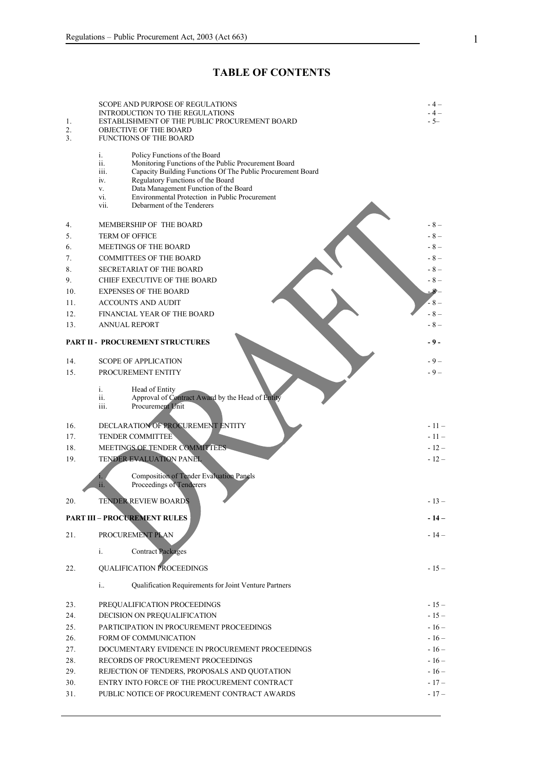# **TABLE OF CONTENTS**

|            | <b>SCOPE AND PURPOSE OF REGULATIONS</b>                                                                         | $-4-$            |
|------------|-----------------------------------------------------------------------------------------------------------------|------------------|
| 1.         | <b>INTRODUCTION TO THE REGULATIONS</b><br>ESTABLISHMENT OF THE PUBLIC PROCUREMENT BOARD                         | $-4-$<br>$-5-$   |
| 2.         | <b>OBJECTIVE OF THE BOARD</b>                                                                                   |                  |
| 3.         | <b>FUNCTIONS OF THE BOARD</b>                                                                                   |                  |
|            | i.<br>Policy Functions of the Board                                                                             |                  |
|            | Monitoring Functions of the Public Procurement Board<br>ii.                                                     |                  |
|            | Capacity Building Functions Of The Public Procurement Board<br>iii.<br>Regulatory Functions of the Board<br>iv. |                  |
|            | Data Management Function of the Board<br>V.                                                                     |                  |
|            | Environmental Protection in Public Procurement<br>vi.<br>Debarment of the Tenderers                             |                  |
|            | vii.                                                                                                            |                  |
| 4.         | MEMBERSHIP OF THE BOARD                                                                                         | - 8 –            |
| 5.         | <b>TERM OF OFFICE</b>                                                                                           | $-8-$            |
| 6.         | MEETINGS OF THE BOARD                                                                                           | $-8-$            |
| 7.         | <b>COMMITTEES OF THE BOARD</b>                                                                                  | $-8-$            |
| 8.         | <b>SECRETARIAT OF THE BOARD</b>                                                                                 | $-8-$            |
| 9.         | CHIEF EXECUTIVE OF THE BOARD                                                                                    | $-8-$            |
| 10.        | <b>EXPENSES OF THE BOARD</b>                                                                                    | 8-               |
| 11.        | <b>ACCOUNTS AND AUDIT</b>                                                                                       | - 8 –            |
| 12.        | FINANCIAL YEAR OF THE BOARD                                                                                     | $-8-$            |
| 13.        | <b>ANNUAL REPORT</b>                                                                                            | $-8-$            |
|            | <b>PART II - PROCUREMENT STRUCTURES</b>                                                                         | - 9 -            |
|            |                                                                                                                 |                  |
| 14.        | <b>SCOPE OF APPLICATION</b>                                                                                     | - 9 –            |
| 15.        | PROCUREMENT ENTITY                                                                                              | $-9-$            |
|            | i.<br>Head of Entity                                                                                            |                  |
|            | Approval of Contract Award by the Head of Entity<br>ii.                                                         |                  |
|            | Procurement Unit<br>iii.                                                                                        |                  |
|            |                                                                                                                 |                  |
| 16.<br>17. | DECLARATION OF PROCUREMENT ENTITY<br><b>TENDER COMMITTEE</b>                                                    | $-11-$<br>$-11-$ |
| 18.        | MEETINGS OF TENDER COMMITTEES                                                                                   | $-12-$           |
| 19.        | TENDER EVALUATION PANEL                                                                                         | $-12-$           |
|            |                                                                                                                 |                  |
|            | <b>Composition of Tender Evaluation Panels</b><br>1.                                                            |                  |
|            | Proceedings of Tenderers<br>ii.                                                                                 |                  |
| 20.        | <b>TENDER REVIEW BOARDS</b>                                                                                     | $-13-$           |
|            | <b>PART III - PROCUREMENT RULES</b>                                                                             | - 14 -           |
|            |                                                                                                                 |                  |
| 21.        | PROCUREMENT PLAN                                                                                                | $-14-$           |
|            | <b>Contract Packages</b><br>i.                                                                                  |                  |
|            |                                                                                                                 |                  |
| 22.        | <b>QUALIFICATION PROCEEDINGS</b>                                                                                | $-15-$           |
|            | i<br>Qualification Requirements for Joint Venture Partners                                                      |                  |
|            |                                                                                                                 |                  |
| 23.        | PREQUALIFICATION PROCEEDINGS                                                                                    | $-15-$           |
| 24.        | DECISION ON PREQUALIFICATION                                                                                    | $-15-$           |
| 25.        | PARTICIPATION IN PROCUREMENT PROCEEDINGS                                                                        | $-16-$           |
| 26.        | FORM OF COMMUNICATION                                                                                           | $-16-$           |
| 27.        | DOCUMENTARY EVIDENCE IN PROCUREMENT PROCEEDINGS                                                                 | $-16-$           |
| 28.        | RECORDS OF PROCUREMENT PROCEEDINGS                                                                              | $-16-$           |
| 29.        | REJECTION OF TENDERS, PROPOSALS AND QUOTATION                                                                   | $-16-$           |
| 30.        | ENTRY INTO FORCE OF THE PROCUREMENT CONTRACT                                                                    | $-17-$           |
| 31.        | PUBLIC NOTICE OF PROCUREMENT CONTRACT AWARDS                                                                    | $-17-$           |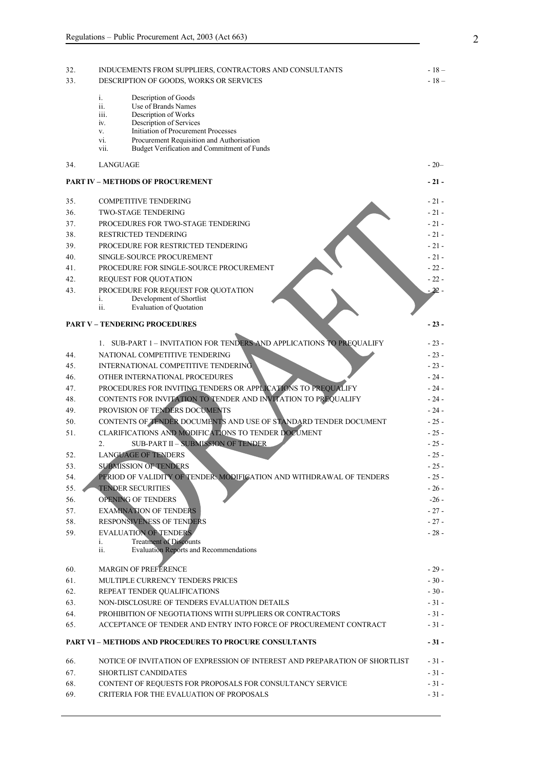| 32.<br>33. | INDUCEMENTS FROM SUPPLIERS, CONTRACTORS AND CONSULTANTS<br>DESCRIPTION OF GOODS, WORKS OR SERVICES                                                                                                                                                                                 | - 18 –<br>$-18-$ |
|------------|------------------------------------------------------------------------------------------------------------------------------------------------------------------------------------------------------------------------------------------------------------------------------------|------------------|
|            | i.<br>Description of Goods<br>ii.<br>Use of Brands Names<br>iii.<br>Description of Works<br>Description of Services<br>iv.<br>Initiation of Procurement Processes<br>V.<br>Procurement Requisition and Authorisation<br>vi.<br>Budget Verification and Commitment of Funds<br>vii. |                  |
| 34.        | <b>LANGUAGE</b>                                                                                                                                                                                                                                                                    | $-20-$           |
|            | <b>PART IV - METHODS OF PROCUREMENT</b>                                                                                                                                                                                                                                            | $-21-$           |
| 35.        | <b>COMPETITIVE TENDERING</b>                                                                                                                                                                                                                                                       | $-21-$           |
| 36.        | TWO-STAGE TENDERING                                                                                                                                                                                                                                                                | $-21-$           |
| 37.        | PROCEDURES FOR TWO-STAGE TENDERING                                                                                                                                                                                                                                                 | $-21-$           |
| 38.        | <b>RESTRICTED TENDERING</b>                                                                                                                                                                                                                                                        | $-21-$           |
| 39.        | PROCEDURE FOR RESTRICTED TENDERING                                                                                                                                                                                                                                                 | $-21-$           |
| 40.        | SINGLE-SOURCE PROCUREMENT                                                                                                                                                                                                                                                          | $-21-$           |
| 41.        | PROCEDURE FOR SINGLE-SOURCE PROCUREMENT                                                                                                                                                                                                                                            | $-22-$           |
| 42.        | REQUEST FOR QUOTATION                                                                                                                                                                                                                                                              | $-22-$           |
| 43.        | PROCEDURE FOR REQUEST FOR QUOTATION<br>Development of Shortlist<br>$\mathbf{1}$ .<br>ii.<br><b>Evaluation of Quotation</b>                                                                                                                                                         | - 22 -           |
|            | <b>PART V - TENDERING PROCEDURES</b>                                                                                                                                                                                                                                               | $-23-$           |
|            | 1. SUB-PART 1 - INVITATION FOR TENDERS AND APPLICATIONS TO PREQUALIFY                                                                                                                                                                                                              | $-23-$           |
| 44.        | NATIONAL COMPETITIVE TENDERING                                                                                                                                                                                                                                                     | $-23-$           |
| 45.        | INTERNATIONAL COMPETITIVE TENDERING                                                                                                                                                                                                                                                | $-23-$           |
| 46.        | OTHER INTERNATIONAL PROCEDURES                                                                                                                                                                                                                                                     | $-24-$           |
| 47.        | PROCEDURES FOR INVITING TENDERS OR APPLICATIONS TO PREQUALIFY                                                                                                                                                                                                                      | $-24-$           |
| 48.        | CONTENTS FOR INVITATION TO TENDER AND INVITATION TO PREQUALIFY                                                                                                                                                                                                                     | - 24 -           |
| 49.        | PROVISION OF TENDERS DOCUMENTS                                                                                                                                                                                                                                                     | $-24-$           |
| 50.        | CONTENTS OF TENDER DOCUMENTS AND USE OF STANDARD TENDER DOCUMENT                                                                                                                                                                                                                   | $-25-$           |
|            |                                                                                                                                                                                                                                                                                    |                  |
| 51.        | CLARIFICATIONS AND MODIFICATIONS TO TENDER DOCUMENT<br><b>SUB-PART II - SUBMISSION OF TENDER</b>                                                                                                                                                                                   | $-25-$           |
|            | 2.                                                                                                                                                                                                                                                                                 | $-25-$           |
| 52.        | <b>LANGUAGE OF TENDERS</b>                                                                                                                                                                                                                                                         | $-25-$           |
| 53.        | <b>SUBMISSION OF TENDERS</b><br>PERIOD OF VALIDITY OF TENDER, MODIFICATION AND WITHDRAWAL OF TENDERS                                                                                                                                                                               | $-25-$           |
| 54.        |                                                                                                                                                                                                                                                                                    | $-25-$           |
| 55.        | <b>TENDER SECURITIES</b>                                                                                                                                                                                                                                                           | $-26-$           |
| 56.        | OPENING OF TENDERS                                                                                                                                                                                                                                                                 | $-26-$           |
| 57.        | <b>EXAMINATION OF TENDERS</b>                                                                                                                                                                                                                                                      | $-27-$           |
| 58.        | RESPONSIVENESS OF TENDERS                                                                                                                                                                                                                                                          | $-27-$           |
| 59.        | <b>EVALUATION OF TENDERS</b><br><b>Treatment of Discounts</b><br>i.<br><b>Evaluation Reports and Recommendations</b><br>ii.                                                                                                                                                        | $-28-$           |
| 60.        | <b>MARGIN OF PREFERENCE</b>                                                                                                                                                                                                                                                        | $-29-$           |
| 61.        | MULTIPLE CURRENCY TENDERS PRICES                                                                                                                                                                                                                                                   | $-30-$           |
| 62.        | REPEAT TENDER QUALIFICATIONS                                                                                                                                                                                                                                                       | $-30-$           |
| 63.        | NON-DISCLOSURE OF TENDERS EVALUATION DETAILS                                                                                                                                                                                                                                       | $-31-$           |
| 64.        | PROHIBITION OF NEGOTIATIONS WITH SUPPLIERS OR CONTRACTORS                                                                                                                                                                                                                          | $-31-$           |
| 65.        | ACCEPTANCE OF TENDER AND ENTRY INTO FORCE OF PROCUREMENT CONTRACT                                                                                                                                                                                                                  | $-31-$           |
|            | <b>PART VI - METHODS AND PROCEDURES TO PROCURE CONSULTANTS</b>                                                                                                                                                                                                                     | $-31-$           |
| 66.        | NOTICE OF INVITATION OF EXPRESSION OF INTEREST AND PREPARATION OF SHORTLIST                                                                                                                                                                                                        | $-31-$           |
| 67.        | <b>SHORTLIST CANDIDATES</b>                                                                                                                                                                                                                                                        | $-31-$           |
| 68.        | CONTENT OF REQUESTS FOR PROPOSALS FOR CONSULTANCY SERVICE                                                                                                                                                                                                                          | $-31-$           |
| 69.        | CRITERIA FOR THE EVALUATION OF PROPOSALS                                                                                                                                                                                                                                           | $-31-$           |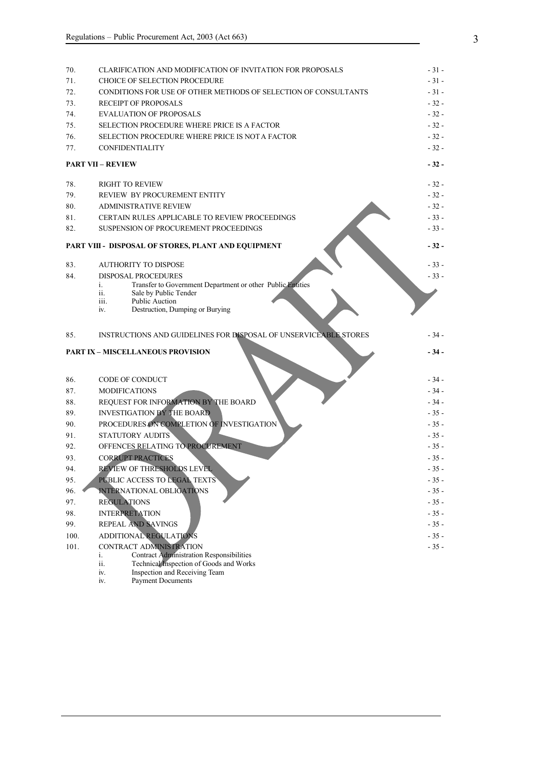| 70.  | CLARIFICATION AND MODIFICATION OF INVITATION FOR PROPOSALS                                                                                                           | $-31-$ |
|------|----------------------------------------------------------------------------------------------------------------------------------------------------------------------|--------|
| 71.  | CHOICE OF SELECTION PROCEDURE                                                                                                                                        | $-31-$ |
| 72.  | CONDITIONS FOR USE OF OTHER METHODS OF SELECTION OF CONSULTANTS                                                                                                      | $-31-$ |
| 73.  | <b>RECEIPT OF PROPOSALS</b>                                                                                                                                          | $-32-$ |
| 74.  | <b>EVALUATION OF PROPOSALS</b>                                                                                                                                       | $-32-$ |
| 75.  | SELECTION PROCEDURE WHERE PRICE IS A FACTOR                                                                                                                          | $-32-$ |
| 76.  | SELECTION PROCEDURE WHERE PRICE IS NOT A FACTOR                                                                                                                      | $-32-$ |
| 77.  | <b>CONFIDENTIALITY</b>                                                                                                                                               | $-32-$ |
|      | <b>PART VII - REVIEW</b>                                                                                                                                             | - 32 - |
| 78.  | <b>RIGHT TO REVIEW</b>                                                                                                                                               | - 32 - |
| 79.  | REVIEW BY PROCUREMENT ENTITY                                                                                                                                         | $-32-$ |
| 80.  | <b>ADMINISTRATIVE REVIEW</b>                                                                                                                                         | $-32-$ |
| 81.  | CERTAIN RULES APPLICABLE TO REVIEW PROCEEDINGS                                                                                                                       | $-33-$ |
| 82.  | SUSPENSION OF PROCUREMENT PROCEEDINGS                                                                                                                                | $-33-$ |
|      | PART VIII - DISPOSAL OF STORES, PLANT AND EQUIPMENT                                                                                                                  | $-32-$ |
| 83.  | <b>AUTHORITY TO DISPOSE</b>                                                                                                                                          | $-33-$ |
| 84.  | <b>DISPOSAL PROCEDURES</b>                                                                                                                                           | $-33-$ |
|      | Transfer to Government Department or other Public Entities<br>i.<br>Sale by Public Tender<br>ii.<br>Public Auction<br>iii.<br>Destruction, Dumping or Burying<br>iv. |        |
| 85.  | INSTRUCTIONS AND GUIDELINES FOR DISPOSAL OF UNSERVICEABLE STORES                                                                                                     | - 34 - |
|      | <b>PART IX - MISCELLANEOUS PROVISION</b>                                                                                                                             | $-34-$ |
|      |                                                                                                                                                                      |        |
| 86.  | <b>CODE OF CONDUCT</b>                                                                                                                                               | - 34 - |
| 87.  | <b>MODIFICATIONS</b>                                                                                                                                                 | $-34-$ |
| 88.  | REQUEST FOR INFORMATION BY THE BOARD                                                                                                                                 | $-34-$ |
| 89.  | <b>INVESTIGATION BY THE BOARD</b>                                                                                                                                    | $-35-$ |
| 90.  | PROCEDURES ON COMPLETION OF INVESTIGATION                                                                                                                            | $-35-$ |
| 91.  | <b>STATUTORY AUDITS</b>                                                                                                                                              | $-35-$ |
| 92.  | OFFENCES RELATING TO PROCUREMENT                                                                                                                                     | $-35-$ |
| 93.  | <b>CORRUPT PRACTICES</b>                                                                                                                                             | $-35-$ |
| 94.  | REVIEW OF THRESHOLDS LEVEL                                                                                                                                           | $-35-$ |
| 95.  | PUBLIC ACCESS TO LEGAL TEXTS                                                                                                                                         | $-35-$ |
| 96.  | INTERNATIONAL OBLIGATIONS                                                                                                                                            | $-35-$ |
| 97.  | <b>REGULATIONS</b>                                                                                                                                                   | $-35-$ |
| 98.  | <b>INTERPRETATION</b>                                                                                                                                                | $-35-$ |
| 99.  | REPEAL AND SAVINGS                                                                                                                                                   | $-35-$ |
| 100. | ADDITIONAL REGULATIONS                                                                                                                                               | $-35-$ |
| 101. | CONTRACT ADMINISTRATION                                                                                                                                              | $-35-$ |
|      | <b>Contract Administration Responsibilities</b><br>i.<br>Technical Inspection of Goods and Works<br>ii.                                                              |        |

- iv. Inspection and Receiving Team
- iv. Payment Documents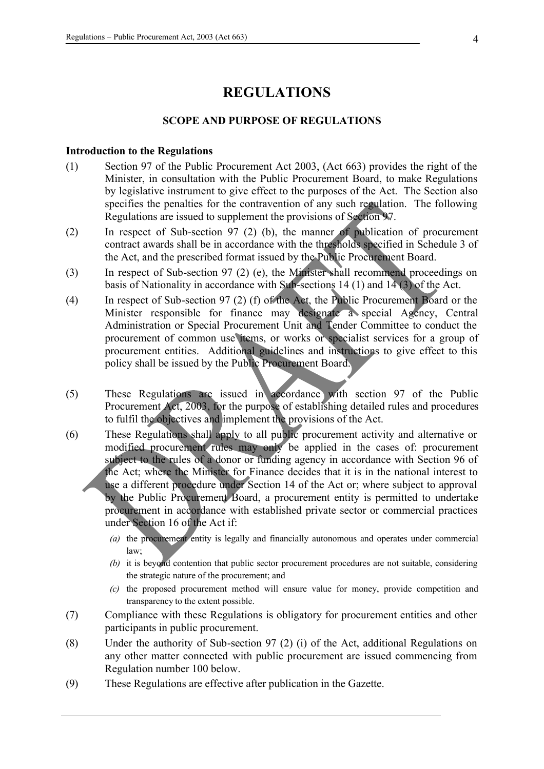# **REGULATIONS**

#### **SCOPE AND PURPOSE OF REGULATIONS**

#### **Introduction to the Regulations**

- (1) Section 97 of the Public Procurement Act 2003, (Act 663) provides the right of the Minister, in consultation with the Public Procurement Board, to make Regulations by legislative instrument to give effect to the purposes of the Act. The Section also specifies the penalties for the contravention of any such regulation. The following Regulations are issued to supplement the provisions of Section 97.
- (2) In respect of Sub-section 97 (2) (b), the manner of publication of procurement contract awards shall be in accordance with the thresholds specified in Schedule 3 of the Act, and the prescribed format issued by the Public Procurement Board.
- (3) In respect of Sub-section 97 (2) (e), the Minister shall recommend proceedings on basis of Nationality in accordance with Sub-sections 14 (1) and  $14(3)$  of the Act.
- (4) In respect of Sub-section 97 (2) (f) of the Act, the Public Procurement Board or the Minister responsible for finance may designate a special Agency, Central Administration or Special Procurement Unit and Tender Committee to conduct the procurement of common use items, or works or specialist services for a group of procurement entities. Additional guidelines and instructions to give effect to this policy shall be issued by the Public Procurement Board.
- (5) These Regulations are issued in accordance with section 97 of the Public Procurement Act, 2003, for the purpose of establishing detailed rules and procedures to fulfil the objectives and implement the provisions of the Act.
- (6) These Regulations shall apply to all public procurement activity and alternative or modified procurement rules may only be applied in the cases of: procurement subject to the rules of a donor or funding agency in accordance with Section 96 of the Act; where the Minister for Finance decides that it is in the national interest to use a different procedure under Section 14 of the Act or; where subject to approval by the Public Procurement Board, a procurement entity is permitted to undertake procurement in accordance with established private sector or commercial practices under Section 16 of the Act if:
	- *(a)* the procurement entity is legally and financially autonomous and operates under commercial law;
	- *(b)* it is beyond contention that public sector procurement procedures are not suitable, considering the strategic nature of the procurement; and
	- *(c)* the proposed procurement method will ensure value for money, provide competition and transparency to the extent possible.
- (7) Compliance with these Regulations is obligatory for procurement entities and other participants in public procurement.
- (8) Under the authority of Sub-section 97 (2) (i) of the Act, additional Regulations on any other matter connected with public procurement are issued commencing from Regulation number 100 below.
- (9) These Regulations are effective after publication in the Gazette.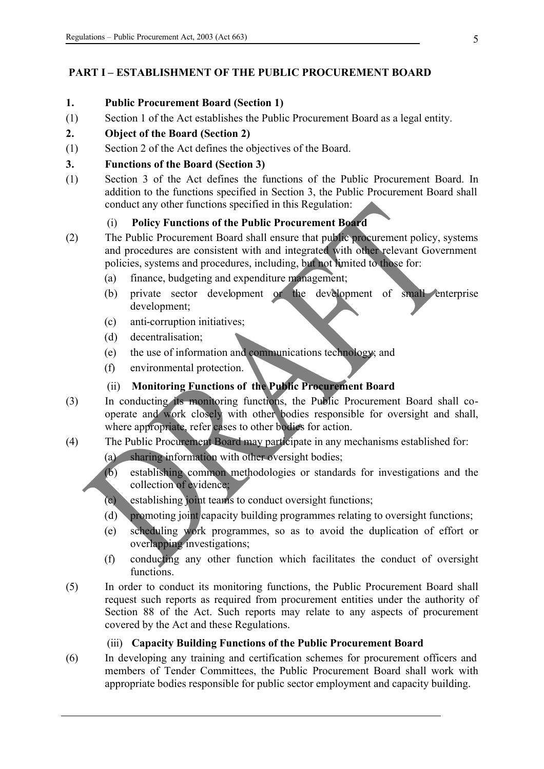# **PART I – ESTABLISHMENT OF THE PUBLIC PROCUREMENT BOARD**

# **1. Public Procurement Board (Section 1)**

(1) Section 1 of the Act establishes the Public Procurement Board as a legal entity.

# **2. Object of the Board (Section 2)**

(1) Section 2 of the Act defines the objectives of the Board.

# **3. Functions of the Board (Section 3)**

(1) Section 3 of the Act defines the functions of the Public Procurement Board. In addition to the functions specified in Section 3, the Public Procurement Board shall conduct any other functions specified in this Regulation:

# (i) **Policy Functions of the Public Procurement Board**

- (2) The Public Procurement Board shall ensure that public procurement policy, systems and procedures are consistent with and integrated with other relevant Government policies, systems and procedures, including, but not limited to those for:
	- (a) finance, budgeting and expenditure management;
	- (b) private sector development or the development of small enterprise development;
	- (c) anti-corruption initiatives;
	- (d) decentralisation;
	- (e) the use of information and communications technology; and
	- (f) environmental protection.

# (ii) **Monitoring Functions of the Public Procurement Board**

- (3) In conducting its monitoring functions, the Public Procurement Board shall cooperate and work closely with other bodies responsible for oversight and shall, where appropriate, refer cases to other bodies for action.
- (4) The Public Procurement Board may participate in any mechanisms established for:
	- (a) sharing information with other oversight bodies;
	- (b) establishing common methodologies or standards for investigations and the collection of evidence;
	- (c) establishing joint teams to conduct oversight functions;
	- (d) promoting joint capacity building programmes relating to oversight functions;
	- (e) scheduling work programmes, so as to avoid the duplication of effort or overlapping investigations;
	- (f) conducting any other function which facilitates the conduct of oversight functions.
- (5) In order to conduct its monitoring functions, the Public Procurement Board shall request such reports as required from procurement entities under the authority of Section 88 of the Act. Such reports may relate to any aspects of procurement covered by the Act and these Regulations.

# (iii) **Capacity Building Functions of the Public Procurement Board**

(6) In developing any training and certification schemes for procurement officers and members of Tender Committees, the Public Procurement Board shall work with appropriate bodies responsible for public sector employment and capacity building.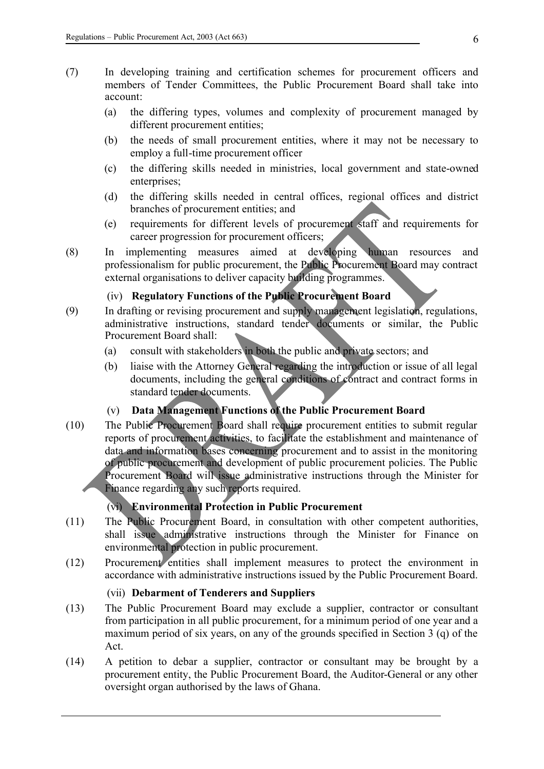- (7) In developing training and certification schemes for procurement officers and members of Tender Committees, the Public Procurement Board shall take into account:
	- (a) the differing types, volumes and complexity of procurement managed by different procurement entities;
	- (b) the needs of small procurement entities, where it may not be necessary to employ a full-time procurement officer
	- (c) the differing skills needed in ministries, local government and state-owned enterprises;
	- (d) the differing skills needed in central offices, regional offices and district branches of procurement entities; and
	- (e) requirements for different levels of procurement staff and requirements for career progression for procurement officers;
- (8) In implementing measures aimed at developing human resources and professionalism for public procurement, the Public Procurement Board may contract external organisations to deliver capacity building programmes.

# (iv) **Regulatory Functions of the Public Procurement Board**

- (9) In drafting or revising procurement and supply management legislation, regulations, administrative instructions, standard tender documents or similar, the Public Procurement Board shall:
	- (a) consult with stakeholders in both the public and private sectors; and
	- (b) liaise with the Attorney General regarding the introduction or issue of all legal documents, including the general conditions of contract and contract forms in standard tender documents.

# (v) **Data Management Functions of the Public Procurement Board**

(10) The Public Procurement Board shall require procurement entities to submit regular reports of procurement activities, to facilitate the establishment and maintenance of data and information bases concerning procurement and to assist in the monitoring of public procurement and development of public procurement policies. The Public Procurement Board will issue administrative instructions through the Minister for Finance regarding any such reports required.

# (vi) **Environmental Protection in Public Procurement**

- (11) The Public Procurement Board, in consultation with other competent authorities, shall issue administrative instructions through the Minister for Finance on environmental protection in public procurement.
- (12) Procurement entities shall implement measures to protect the environment in accordance with administrative instructions issued by the Public Procurement Board.

# (vii) **Debarment of Tenderers and Suppliers**

- (13) The Public Procurement Board may exclude a supplier, contractor or consultant from participation in all public procurement, for a minimum period of one year and a maximum period of six years, on any of the grounds specified in Section 3 (q) of the Act.
- (14) A petition to debar a supplier, contractor or consultant may be brought by a procurement entity, the Public Procurement Board, the Auditor-General or any other oversight organ authorised by the laws of Ghana.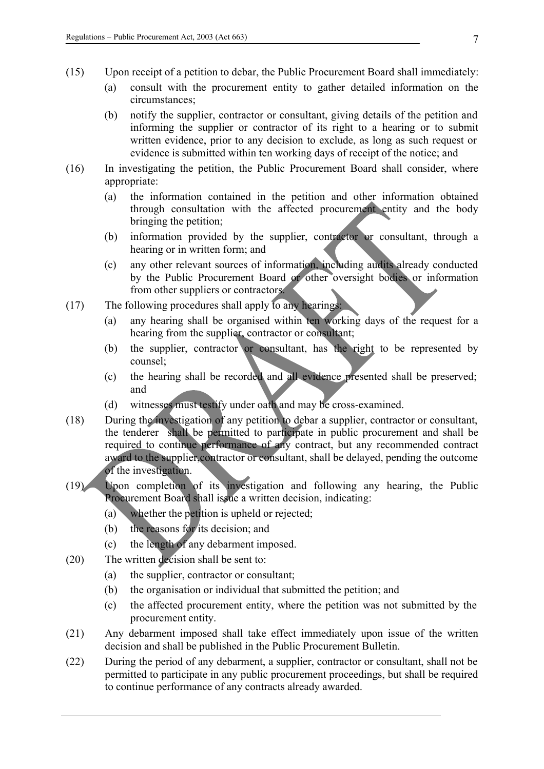- (15) Upon receipt of a petition to debar, the Public Procurement Board shall immediately:
	- (a) consult with the procurement entity to gather detailed information on the circumstances;
	- (b) notify the supplier, contractor or consultant, giving details of the petition and informing the supplier or contractor of its right to a hearing or to submit written evidence, prior to any decision to exclude, as long as such request or evidence is submitted within ten working days of receipt of the notice; and
- (16) In investigating the petition, the Public Procurement Board shall consider, where appropriate:
	- (a) the information contained in the petition and other information obtained through consultation with the affected procurement entity and the body bringing the petition;
	- (b) information provided by the supplier, contractor or consultant, through a hearing or in written form; and
	- (c) any other relevant sources of information, including audits already conducted by the Public Procurement Board or other oversight bodies or information from other suppliers or contractors.
- (17) The following procedures shall apply to any hearings:
	- (a) any hearing shall be organised within ten working days of the request for a hearing from the supplier, contractor or consultant;
	- (b) the supplier, contractor or consultant, has the right to be represented by counsel;
	- (c) the hearing shall be recorded and all evidence presented shall be preserved; and
	- (d) witnesses must testify under oath and may be cross-examined.
- (18) During the investigation of any petition to debar a supplier, contractor or consultant, the tenderer shall be permitted to participate in public procurement and shall be required to continue performance of any contract, but any recommended contract award to the supplier,contractor or consultant, shall be delayed, pending the outcome of the investigation.
- (19) Upon completion of its investigation and following any hearing, the Public Procurement Board shall issue a written decision, indicating:
	- (a) whether the petition is upheld or rejected;
	- (b) the reasons for its decision; and
	- (c) the length of any debarment imposed.
- (20) The written decision shall be sent to:
	- (a) the supplier, contractor or consultant;
	- (b) the organisation or individual that submitted the petition; and
	- (c) the affected procurement entity, where the petition was not submitted by the procurement entity.
- (21) Any debarment imposed shall take effect immediately upon issue of the written decision and shall be published in the Public Procurement Bulletin.
- (22) During the period of any debarment, a supplier, contractor or consultant, shall not be permitted to participate in any public procurement proceedings, but shall be required to continue performance of any contracts already awarded.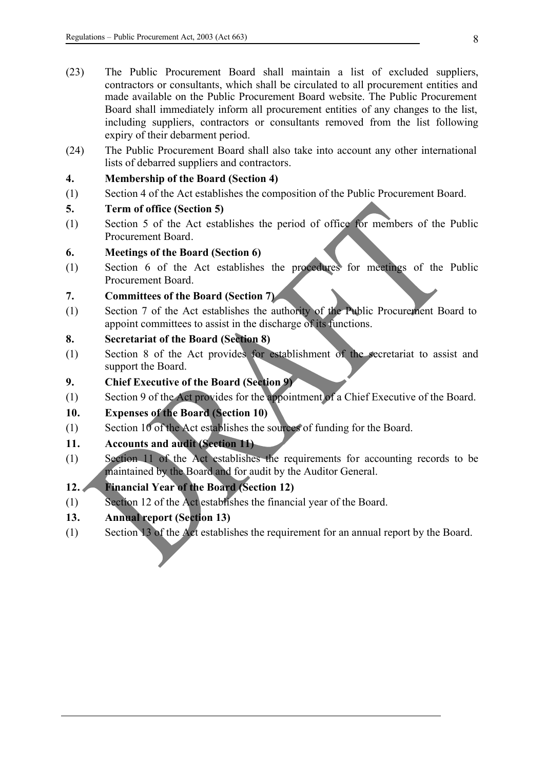- (23) The Public Procurement Board shall maintain a list of excluded suppliers, contractors or consultants, which shall be circulated to all procurement entities and made available on the Public Procurement Board website. The Public Procurement Board shall immediately inform all procurement entities of any changes to the list, including suppliers, contractors or consultants removed from the list following expiry of their debarment period.
- (24) The Public Procurement Board shall also take into account any other international lists of debarred suppliers and contractors.

### **4. Membership of the Board (Section 4)**

(1) Section 4 of the Act establishes the composition of the Public Procurement Board.

### **5. Term of office (Section 5)**

(1) Section 5 of the Act establishes the period of office for members of the Public Procurement Board.

### **6. Meetings of the Board (Section 6)**

(1) Section 6 of the Act establishes the procedures for meetings of the Public Procurement Board.

# **7. Committees of the Board (Section 7)**

(1) Section 7 of the Act establishes the authority of the Public Procurement Board to appoint committees to assist in the discharge of its functions.

### **8. Secretariat of the Board (Section 8)**

- (1) Section 8 of the Act provides for establishment of the secretariat to assist and support the Board.
- **9. Chief Executive of the Board (Section 9)**
- (1) Section 9 of the Act provides for the appointment of a Chief Executive of the Board.

# **10. Expenses of the Board (Section 10)**

(1) Section 10 of the Act establishes the sources of funding for the Board.

# **11. Accounts and audit (Section 11)**

(1) Section 11 of the Act establishes the requirements for accounting records to be maintained by the Board and for audit by the Auditor General.

# **12. Financial Year of the Board (Section 12)**

(1) Section 12 of the Act establishes the financial year of the Board.

# **13. Annual report (Section 13)**

(1) Section 13 of the Act establishes the requirement for an annual report by the Board.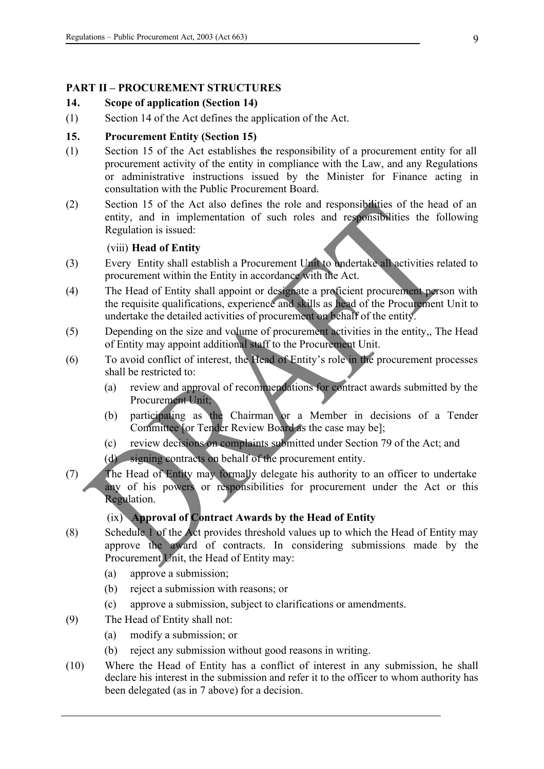### **PART II – PROCUREMENT STRUCTURES**

# **14. Scope of application (Section 14)**

(1) Section 14 of the Act defines the application of the Act.

# **15. Procurement Entity (Section 15)**

- (1) Section 15 of the Act establishes the responsibility of a procurement entity for all procurement activity of the entity in compliance with the Law, and any Regulations or administrative instructions issued by the Minister for Finance acting in consultation with the Public Procurement Board.
- (2) Section 15 of the Act also defines the role and responsibilities of the head of an entity, and in implementation of such roles and responsibilities the following Regulation is issued:

### (viii) **Head of Entity**

- (3) Every Entity shall establish a Procurement Unit to undertake all activities related to procurement within the Entity in accordance with the Act.
- (4) The Head of Entity shall appoint or designate a proficient procurement person with the requisite qualifications, experience and skills as head of the Procurement Unit to undertake the detailed activities of procurement on behalf of the entity.
- (5) Depending on the size and volume of procurement activities in the entity,, The Head of Entity may appoint additional staff to the Procurement Unit.
- (6) To avoid conflict of interest, the Head of Entity's role in the procurement processes shall be restricted to:
	- (a) review and approval of recommendations for contract awards submitted by the Procurement Unit;
	- (b) participating as the Chairman or a Member in decisions of a Tender Committee [or Tender Review Board as the case may be];
	- (c) review decisions on complaints submitted under Section 79 of the Act; and
	- (d) signing contracts on behalf of the procurement entity.
- (7) The Head of Entity may formally delegate his authority to an officer to undertake any of his powers or responsibilities for procurement under the Act or this Regulation.

# (ix) **Approval of Contract Awards by the Head of Entity**

- (8) Schedule 1 of the Act provides threshold values up to which the Head of Entity may approve the award of contracts. In considering submissions made by the Procurement Unit, the Head of Entity may:
	- (a) approve a submission;
	- (b) reject a submission with reasons; or
	- (c) approve a submission, subject to clarifications or amendments.
- (9) The Head of Entity shall not:
	- (a) modify a submission; or
	- (b) reject any submission without good reasons in writing.
- (10) Where the Head of Entity has a conflict of interest in any submission, he shall declare his interest in the submission and refer it to the officer to whom authority has been delegated (as in 7 above) for a decision.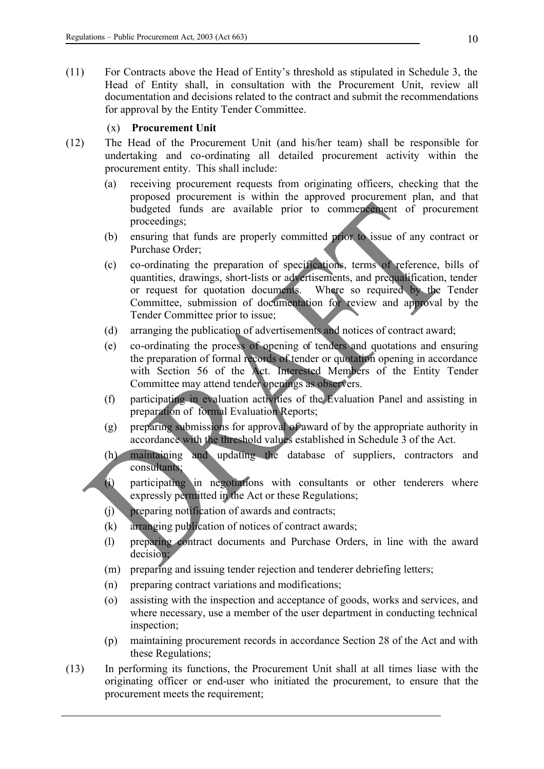(11) For Contracts above the Head of Entity's threshold as stipulated in Schedule 3, the Head of Entity shall, in consultation with the Procurement Unit, review all documentation and decisions related to the contract and submit the recommendations for approval by the Entity Tender Committee.

### (x) **Procurement Unit**

- (12) The Head of the Procurement Unit (and his/her team) shall be responsible for undertaking and co-ordinating all detailed procurement activity within the procurement entity. This shall include:
	- (a) receiving procurement requests from originating officers, checking that the proposed procurement is within the approved procurement plan, and that budgeted funds are available prior to commencement of procurement proceedings;
	- (b) ensuring that funds are properly committed prior to issue of any contract or Purchase Order;
	- (c) co-ordinating the preparation of specifications, terms of reference, bills of quantities, drawings, short-lists or advertisements, and prequalification, tender or request for quotation documents. Where so required by the Tender Committee, submission of documentation for review and approval by the Tender Committee prior to issue;
	- (d) arranging the publication of advertisements and notices of contract award;
	- (e) co-ordinating the process of opening of tenders and quotations and ensuring the preparation of formal records of tender or quotation opening in accordance with Section 56 of the Act. Interested Members of the Entity Tender Committee may attend tender openings as observers.
	- (f) participating in evaluation activities of the Evaluation Panel and assisting in preparation of formal Evaluation Reports;
	- (g) preparing submissions for approval of award of by the appropriate authority in accordance with the threshold values established in Schedule 3 of the Act.
	- (h) maintaining and updating the database of suppliers, contractors and consultants;
	- (i) participating in negotiations with consultants or other tenderers where expressly permitted in the Act or these Regulations;
	- (j) preparing notification of awards and contracts;
	- (k) arranging publication of notices of contract awards;
	- (l) preparing contract documents and Purchase Orders, in line with the award decision;
	- (m) preparing and issuing tender rejection and tenderer debriefing letters;
	- (n) preparing contract variations and modifications;
	- (o) assisting with the inspection and acceptance of goods, works and services, and where necessary, use a member of the user department in conducting technical inspection;
	- (p) maintaining procurement records in accordance Section 28 of the Act and with these Regulations;
- (13) In performing its functions, the Procurement Unit shall at all times liase with the originating officer or end-user who initiated the procurement, to ensure that the procurement meets the requirement;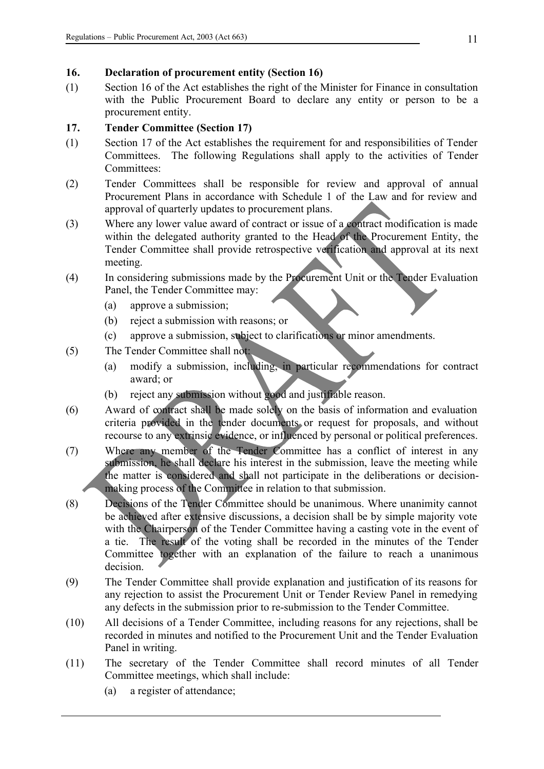### **16. Declaration of procurement entity (Section 16)**

(1) Section 16 of the Act establishes the right of the Minister for Finance in consultation with the Public Procurement Board to declare any entity or person to be a procurement entity.

# **17. Tender Committee (Section 17)**

- (1) Section 17 of the Act establishes the requirement for and responsibilities of Tender Committees. The following Regulations shall apply to the activities of Tender Committees:
- (2) Tender Committees shall be responsible for review and approval of annual Procurement Plans in accordance with Schedule 1 of the Law and for review and approval of quarterly updates to procurement plans.
- (3) Where any lower value award of contract or issue of a contract modification is made within the delegated authority granted to the Head of the Procurement Entity, the Tender Committee shall provide retrospective verification and approval at its next meeting.
- (4) In considering submissions made by the Procurement Unit or the Tender Evaluation Panel, the Tender Committee may:
	- (a) approve a submission;
	- (b) reject a submission with reasons; or
	- (c) approve a submission, subject to clarifications or minor amendments.
- (5) The Tender Committee shall not:
	- (a) modify a submission, including, in particular recommendations for contract award; or
	- (b) reject any submission without good and justifiable reason.
- (6) Award of contract shall be made solely on the basis of information and evaluation criteria provided in the tender documents or request for proposals, and without recourse to any extrinsic evidence, or influenced by personal or political preferences.
- (7) Where any member of the Tender Committee has a conflict of interest in any submission, he shall declare his interest in the submission, leave the meeting while the matter is considered and shall not participate in the deliberations or decisionmaking process of the Committee in relation to that submission.
- (8) Decisions of the Tender Committee should be unanimous. Where unanimity cannot be achieved after extensive discussions, a decision shall be by simple majority vote with the Chairperson of the Tender Committee having a casting vote in the event of a tie. The result of the voting shall be recorded in the minutes of the Tender Committee together with an explanation of the failure to reach a unanimous decision.
- (9) The Tender Committee shall provide explanation and justification of its reasons for any rejection to assist the Procurement Unit or Tender Review Panel in remedying any defects in the submission prior to re-submission to the Tender Committee.
- (10) All decisions of a Tender Committee, including reasons for any rejections, shall be recorded in minutes and notified to the Procurement Unit and the Tender Evaluation Panel in writing.
- (11) The secretary of the Tender Committee shall record minutes of all Tender Committee meetings, which shall include:
	- (a) a register of attendance;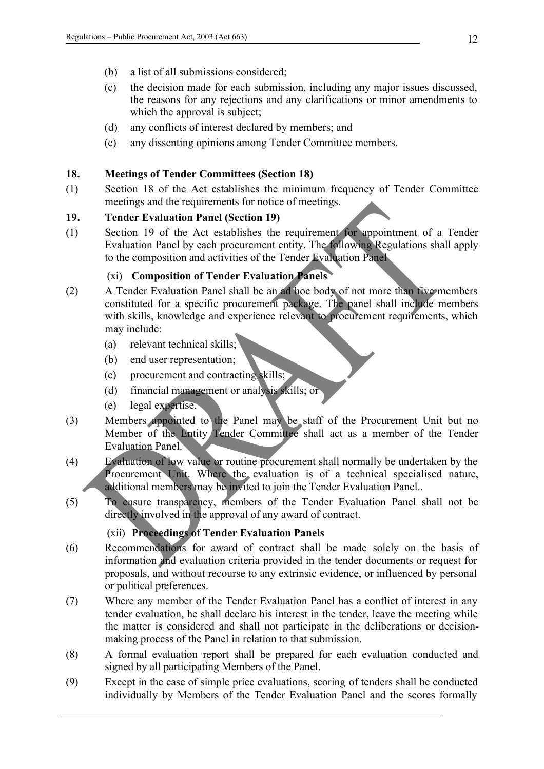- (b) a list of all submissions considered;
- (c) the decision made for each submission, including any major issues discussed, the reasons for any rejections and any clarifications or minor amendments to which the approval is subject;
- (d) any conflicts of interest declared by members; and
- (e) any dissenting opinions among Tender Committee members.

### **18. Meetings of Tender Committees (Section 18)**

(1) Section 18 of the Act establishes the minimum frequency of Tender Committee meetings and the requirements for notice of meetings.

### **19. Tender Evaluation Panel (Section 19)**

(1) Section 19 of the Act establishes the requirement for appointment of a Tender Evaluation Panel by each procurement entity. The following Regulations shall apply to the composition and activities of the Tender Evaluation Panel

# (xi) **Composition of Tender Evaluation Panels**

- (2) A Tender Evaluation Panel shall be an ad hoc body of not more than five members constituted for a specific procurement package. The panel shall include members with skills, knowledge and experience relevant to procurement requirements, which may include:
	- (a) relevant technical skills;
	- (b) end user representation;
	- (c) procurement and contracting skills;
	- (d) financial management or analysis skills; or
	- (e) legal expertise.
- (3) Members appointed to the Panel may be staff of the Procurement Unit but no Member of the Entity Tender Committee shall act as a member of the Tender Evaluation Panel.
- (4) Evaluation of low value or routine procurement shall normally be undertaken by the Procurement Unit. Where the evaluation is of a technical specialised nature, additional members may be invited to join the Tender Evaluation Panel..
- (5) To ensure transparency, members of the Tender Evaluation Panel shall not be directly involved in the approval of any award of contract.

# (xii) **Proceedings of Tender Evaluation Panels**

- (6) Recommendations for award of contract shall be made solely on the basis of information and evaluation criteria provided in the tender documents or request for proposals, and without recourse to any extrinsic evidence, or influenced by personal or political preferences.
- (7) Where any member of the Tender Evaluation Panel has a conflict of interest in any tender evaluation, he shall declare his interest in the tender, leave the meeting while the matter is considered and shall not participate in the deliberations or decisionmaking process of the Panel in relation to that submission.
- (8) A formal evaluation report shall be prepared for each evaluation conducted and signed by all participating Members of the Panel.
- (9) Except in the case of simple price evaluations, scoring of tenders shall be conducted individually by Members of the Tender Evaluation Panel and the scores formally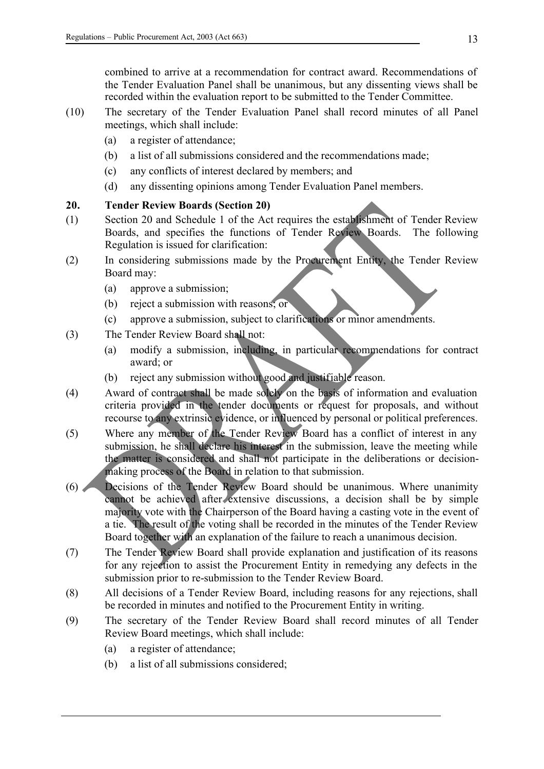combined to arrive at a recommendation for contract award. Recommendations of the Tender Evaluation Panel shall be unanimous, but any dissenting views shall be recorded within the evaluation report to be submitted to the Tender Committee.

- (10) The secretary of the Tender Evaluation Panel shall record minutes of all Panel meetings, which shall include:
	- (a) a register of attendance;
	- (b) a list of all submissions considered and the recommendations made;
	- (c) any conflicts of interest declared by members; and
	- (d) any dissenting opinions among Tender Evaluation Panel members.

# **20. Tender Review Boards (Section 20)**

- (1) Section 20 and Schedule 1 of the Act requires the establishment of Tender Review Boards, and specifies the functions of Tender Review Boards. The following Regulation is issued for clarification:
- (2) In considering submissions made by the Procurement Entity, the Tender Review Board may:
	- (a) approve a submission;
	- (b) reject a submission with reasons; or
	- (c) approve a submission, subject to clarifications or minor amendments.
- (3) The Tender Review Board shall not:
	- (a) modify a submission, including, in particular recommendations for contract award; or
	- (b) reject any submission without good and justifiable reason.
- (4) Award of contract shall be made solely on the basis of information and evaluation criteria provided in the tender documents or request for proposals, and without recourse to any extrinsic evidence, or influenced by personal or political preferences.
- (5) Where any member of the Tender Review Board has a conflict of interest in any submission, he shall declare his interest in the submission, leave the meeting while the matter is considered and shall not participate in the deliberations or decisionmaking process of the Board in relation to that submission.
- (6) Decisions of the Tender Review Board should be unanimous. Where unanimity cannot be achieved after extensive discussions, a decision shall be by simple majority vote with the Chairperson of the Board having a casting vote in the event of a tie. The result of the voting shall be recorded in the minutes of the Tender Review Board together with an explanation of the failure to reach a unanimous decision.
- (7) The Tender Review Board shall provide explanation and justification of its reasons for any rejection to assist the Procurement Entity in remedying any defects in the submission prior to re-submission to the Tender Review Board.
- (8) All decisions of a Tender Review Board, including reasons for any rejections, shall be recorded in minutes and notified to the Procurement Entity in writing.
- (9) The secretary of the Tender Review Board shall record minutes of all Tender Review Board meetings, which shall include:
	- (a) a register of attendance;
	- (b) a list of all submissions considered;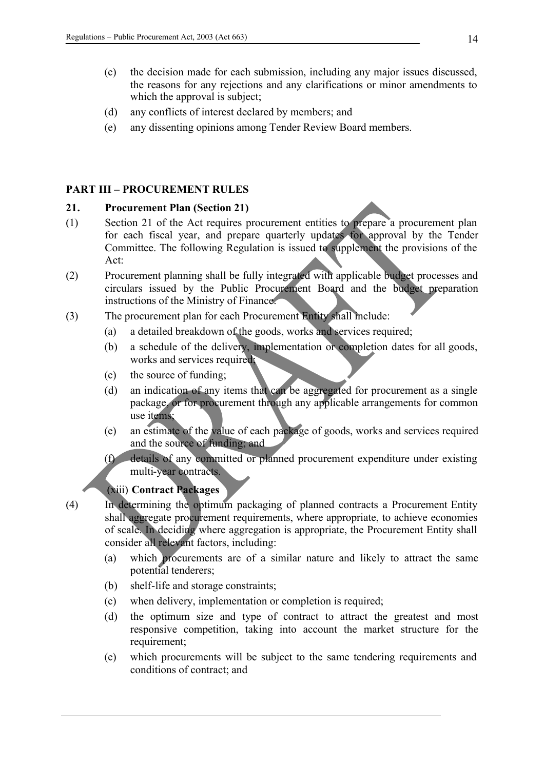- (c) the decision made for each submission, including any major issues discussed, the reasons for any rejections and any clarifications or minor amendments to which the approval is subject;
- (d) any conflicts of interest declared by members; and
- (e) any dissenting opinions among Tender Review Board members.

### **PART III – PROCUREMENT RULES**

#### **21. Procurement Plan (Section 21)**

- (1) Section 21 of the Act requires procurement entities to prepare a procurement plan for each fiscal year, and prepare quarterly updates for approval by the Tender Committee. The following Regulation is issued to supplement the provisions of the Act:
- (2) Procurement planning shall be fully integrated with applicable budget processes and circulars issued by the Public Procurement Board and the budget preparation instructions of the Ministry of Finance.
- (3) The procurement plan for each Procurement Entity shall include:
	- (a) a detailed breakdown of the goods, works and services required;
	- (b) a schedule of the delivery, implementation or completion dates for all goods, works and services required;
	- (c) the source of funding;
	- (d) an indication of any items that can be aggregated for procurement as a single package, or for procurement through any applicable arrangements for common use items;
	- (e) an estimate of the value of each package of goods, works and services required and the source of funding; and
	- (f) details of any committed or planned procurement expenditure under existing multi-year contracts.

# (xiii) **Contract Packages**

(4) In determining the optimum packaging of planned contracts a Procurement Entity shall aggregate procurement requirements, where appropriate, to achieve economies of scale. In deciding where aggregation is appropriate, the Procurement Entity shall consider all relevant factors, including:

- (a) which procurements are of a similar nature and likely to attract the same potential tenderers;
- (b) shelf-life and storage constraints;
- (c) when delivery, implementation or completion is required;
- (d) the optimum size and type of contract to attract the greatest and most responsive competition, taking into account the market structure for the requirement:
- (e) which procurements will be subject to the same tendering requirements and conditions of contract; and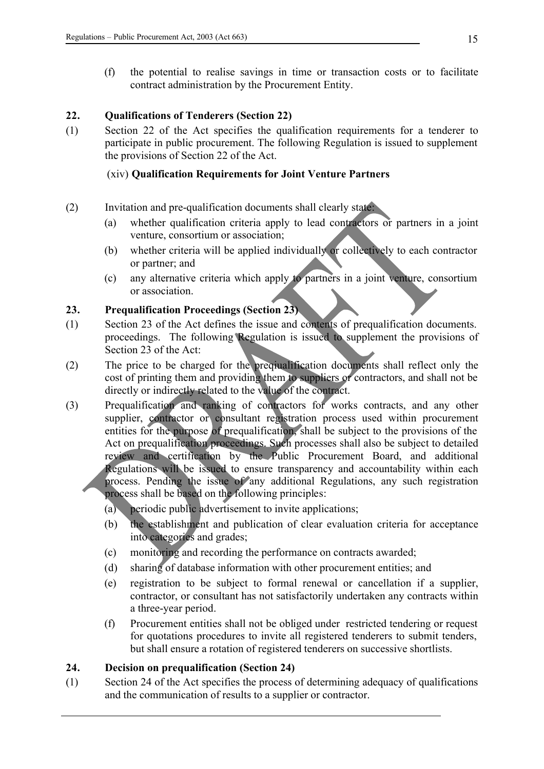(f) the potential to realise savings in time or transaction costs or to facilitate contract administration by the Procurement Entity.

### **22. Qualifications of Tenderers (Section 22)**

(1) Section 22 of the Act specifies the qualification requirements for a tenderer to participate in public procurement. The following Regulation is issued to supplement the provisions of Section 22 of the Act.

### (xiv) **Qualification Requirements for Joint Venture Partners**

- (2) Invitation and pre-qualification documents shall clearly state:
	- (a) whether qualification criteria apply to lead contractors or partners in a joint venture, consortium or association;
	- (b) whether criteria will be applied individually or collectively to each contractor or partner; and
	- (c) any alternative criteria which apply to partners in a joint venture, consortium or association.

# **23. Prequalification Proceedings (Section 23)**

- (1) Section 23 of the Act defines the issue and contents of prequalification documents. proceedings. The following Regulation is issued to supplement the provisions of Section 23 of the Act:
- (2) The price to be charged for the preqiualification documents shall reflect only the cost of printing them and providing them to suppliers or contractors, and shall not be directly or indirectly related to the value of the contract.
- (3) Prequalification and ranking of contractors for works contracts, and any other supplier, contractor or consultant registration process used within procurement entities for the purpose of prequalification, shall be subject to the provisions of the Act on prequalification proceedings. Such processes shall also be subject to detailed review and certification by the Public Procurement Board, and additional Regulations will be issued to ensure transparency and accountability within each process. Pending the issue of any additional Regulations, any such registration process shall be based on the following principles:
	- (a) periodic public advertisement to invite applications;
	- (b) the establishment and publication of clear evaluation criteria for acceptance into categories and grades;
	- (c) monitoring and recording the performance on contracts awarded;
	- (d) sharing of database information with other procurement entities; and
	- (e) registration to be subject to formal renewal or cancellation if a supplier, contractor, or consultant has not satisfactorily undertaken any contracts within a three-year period.
	- (f) Procurement entities shall not be obliged under restricted tendering or request for quotations procedures to invite all registered tenderers to submit tenders, but shall ensure a rotation of registered tenderers on successive shortlists.

### **24. Decision on prequalification (Section 24)**

(1) Section 24 of the Act specifies the process of determining adequacy of qualifications and the communication of results to a supplier or contractor.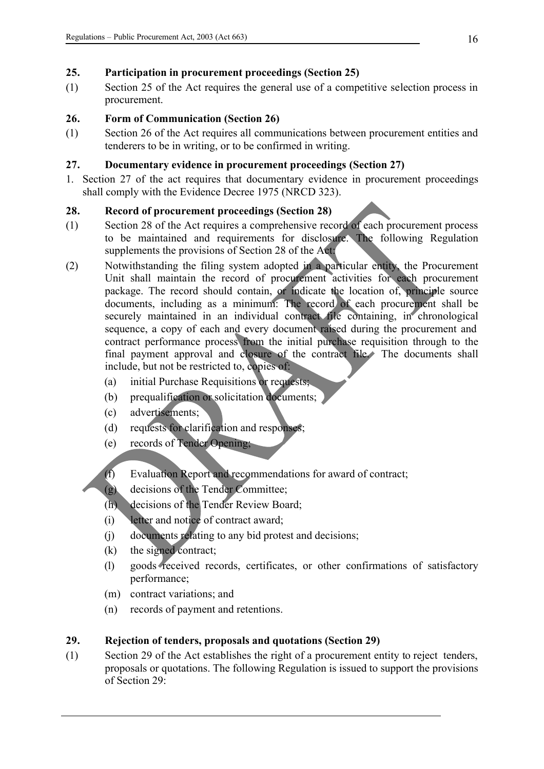# **25. Participation in procurement proceedings (Section 25)**

(1) Section 25 of the Act requires the general use of a competitive selection process in procurement.

# **26. Form of Communication (Section 26)**

(1) Section 26 of the Act requires all communications between procurement entities and tenderers to be in writing, or to be confirmed in writing.

# **27. Documentary evidence in procurement proceedings (Section 27)**

1. Section 27 of the act requires that documentary evidence in procurement proceedings shall comply with the Evidence Decree 1975 (NRCD 323).

### **28. Record of procurement proceedings (Section 28)**

- (1) Section 28 of the Act requires a comprehensive record of each procurement process to be maintained and requirements for disclosure. The following Regulation supplements the provisions of Section 28 of the Act:
- (2) Notwithstanding the filing system adopted in a particular entity, the Procurement Unit shall maintain the record of procurement activities for each procurement package. The record should contain, or indicate the location of, principle source documents, including as a minimum: The record of each procurement shall be securely maintained in an individual contract file containing, in chronological sequence, a copy of each and every document raised during the procurement and contract performance process from the initial purchase requisition through to the final payment approval and closure of the contract file. The documents shall include, but not be restricted to, copies of:
	- (a) initial Purchase Requisitions or requests;
	- (b) prequalification or solicitation documents;
	- (c) advertisements;
	- (d) requests for clarification and responses;
	- (e) records of Tender Opening;
	- (f) Evaluation Report and recommendations for award of contract;
	- (g) decisions of the Tender Committee;
	- (h) decisions of the Tender Review Board;
	- (i) letter and notice of contract award;
	- (j) documents relating to any bid protest and decisions;
	- (k) the signed contract;
	- (l) goods received records, certificates, or other confirmations of satisfactory performance;
	- (m) contract variations; and
	- (n) records of payment and retentions.

# **29. Rejection of tenders, proposals and quotations (Section 29)**

(1) Section 29 of the Act establishes the right of a procurement entity to reject tenders, proposals or quotations. The following Regulation is issued to support the provisions of Section 29: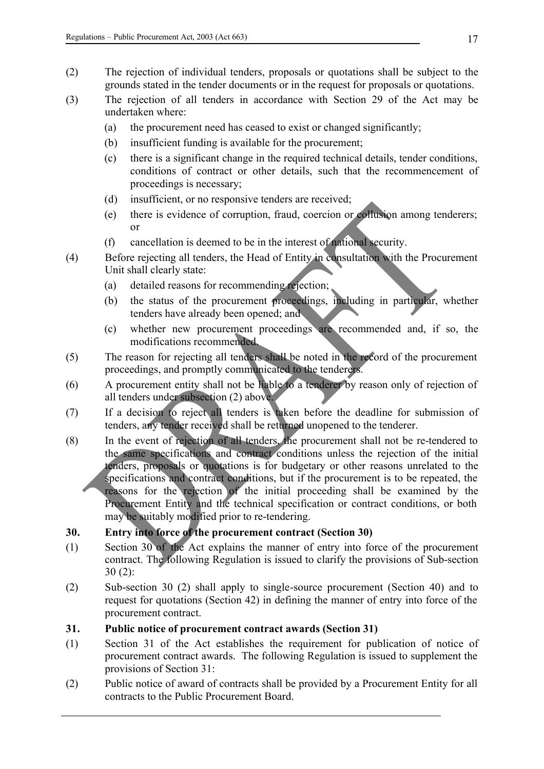- (2) The rejection of individual tenders, proposals or quotations shall be subject to the grounds stated in the tender documents or in the request for proposals or quotations.
- (3) The rejection of all tenders in accordance with Section 29 of the Act may be undertaken where:
	- (a) the procurement need has ceased to exist or changed significantly;
	- (b) insufficient funding is available for the procurement;
	- (c) there is a significant change in the required technical details, tender conditions, conditions of contract or other details, such that the recommencement of proceedings is necessary;
	- (d) insufficient, or no responsive tenders are received;
	- (e) there is evidence of corruption, fraud, coercion or collusion among tenderers; or
	- (f) cancellation is deemed to be in the interest of national security.
- (4) Before rejecting all tenders, the Head of Entity in consultation with the Procurement Unit shall clearly state:
	- (a) detailed reasons for recommending rejection;
	- (b) the status of the procurement proceedings, including in particular, whether tenders have already been opened; and
	- (c) whether new procurement proceedings are recommended and, if so, the modifications recommended.
- (5) The reason for rejecting all tenders shall be noted in the record of the procurement proceedings, and promptly communicated to the tenderers.
- (6) A procurement entity shall not be liable to a tenderer by reason only of rejection of all tenders under subsection (2) above.
- (7) If a decision to reject all tenders is taken before the deadline for submission of tenders, any tender received shall be returned unopened to the tenderer.
- (8) In the event of rejection of all tenders, the procurement shall not be re-tendered to the same specifications and contract conditions unless the rejection of the initial tenders, proposals or quotations is for budgetary or other reasons unrelated to the specifications and contract conditions, but if the procurement is to be repeated, the reasons for the rejection of the initial proceeding shall be examined by the Procurement Entity and the technical specification or contract conditions, or both may be suitably modified prior to re-tendering.

# **30. Entry into force of the procurement contract (Section 30)**

- (1) Section 30 of the Act explains the manner of entry into force of the procurement contract. The following Regulation is issued to clarify the provisions of Sub-section 30 (2):
- (2) Sub-section 30 (2) shall apply to single-source procurement (Section 40) and to request for quotations (Section 42) in defining the manner of entry into force of the procurement contract.
- **31. Public notice of procurement contract awards (Section 31)**
- (1) Section 31 of the Act establishes the requirement for publication of notice of procurement contract awards. The following Regulation is issued to supplement the provisions of Section 31:
- (2) Public notice of award of contracts shall be provided by a Procurement Entity for all contracts to the Public Procurement Board.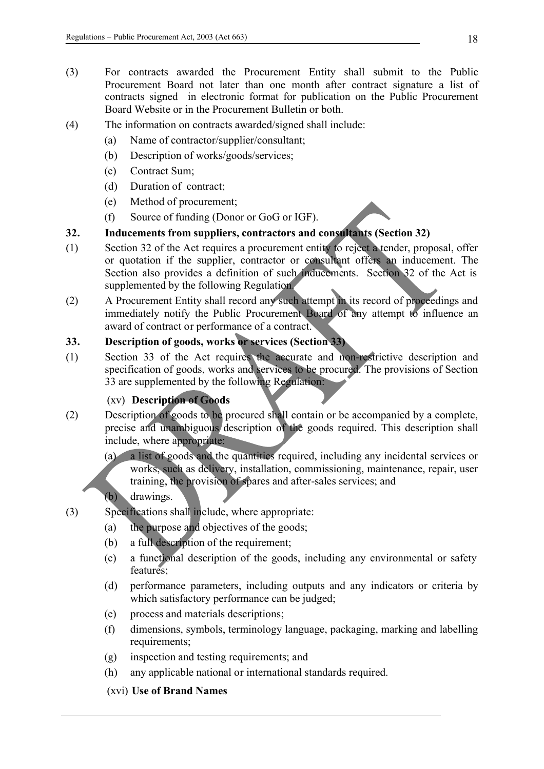- (3) For contracts awarded the Procurement Entity shall submit to the Public Procurement Board not later than one month after contract signature a list of contracts signed in electronic format for publication on the Public Procurement Board Website or in the Procurement Bulletin or both.
- (4) The information on contracts awarded/signed shall include:
	- (a) Name of contractor/supplier/consultant;
	- (b) Description of works/goods/services;
	- (c) Contract Sum;
	- (d) Duration of contract;
	- (e) Method of procurement;
	- (f) Source of funding (Donor or GoG or IGF).

# **32. Inducements from suppliers, contractors and consultants (Section 32)**

- (1) Section 32 of the Act requires a procurement entity to reject a tender, proposal, offer or quotation if the supplier, contractor or consultant offers an inducement. The Section also provides a definition of such inducements. Section 32 of the Act is supplemented by the following Regulation.
- (2) A Procurement Entity shall record any such attempt in its record of proceedings and immediately notify the Public Procurement Board of any attempt to influence an award of contract or performance of a contract.

# **33. Description of goods, works or services (Section 33)**

(1) Section 33 of the Act requires the accurate and non-restrictive description and specification of goods, works and services to be procured. The provisions of Section 33 are supplemented by the following Regulation:

# (xv) **Description of Goods**

- (2) Description of goods to be procured shall contain or be accompanied by a complete, precise and unambiguous description of the goods required. This description shall include, where appropriate:
	- (a) a list of goods and the quantities required, including any incidental services or works, such as delivery, installation, commissioning, maintenance, repair, user training, the provision of spares and after-sales services; and

# (b) drawings.

- (3) Specifications shall include, where appropriate:
	- (a) the purpose and objectives of the goods;
	- (b) a full description of the requirement;
	- (c) a functional description of the goods, including any environmental or safety features;
	- (d) performance parameters, including outputs and any indicators or criteria by which satisfactory performance can be judged;
	- (e) process and materials descriptions;
	- (f) dimensions, symbols, terminology language, packaging, marking and labelling requirements:
	- (g) inspection and testing requirements; and
	- (h) any applicable national or international standards required.

# (xvi) **Use of Brand Names**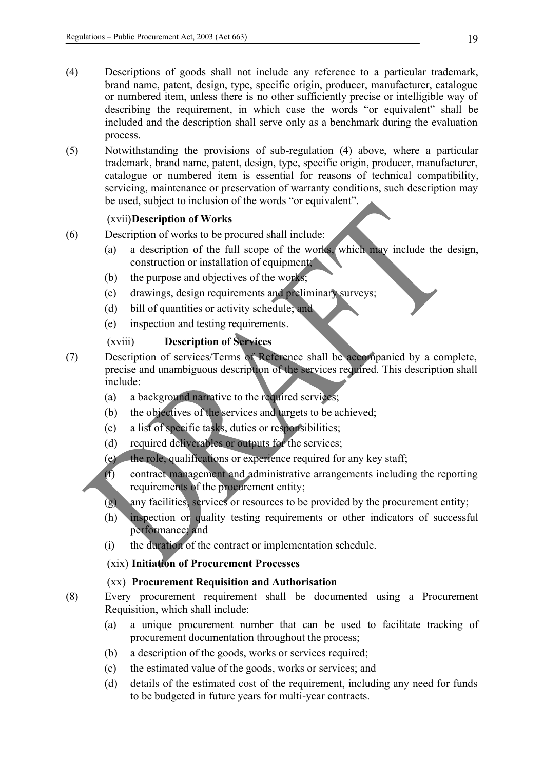- (4) Descriptions of goods shall not include any reference to a particular trademark, brand name, patent, design, type, specific origin, producer, manufacturer, catalogue or numbered item, unless there is no other sufficiently precise or intelligible way of describing the requirement, in which case the words "or equivalent" shall be included and the description shall serve only as a benchmark during the evaluation process.
- (5) Notwithstanding the provisions of sub-regulation (4) above, where a particular trademark, brand name, patent, design, type, specific origin, producer, manufacturer, catalogue or numbered item is essential for reasons of technical compatibility, servicing, maintenance or preservation of warranty conditions, such description may be used, subject to inclusion of the words "or equivalent".

#### (xvii)**Description of Works**

- (6) Description of works to be procured shall include:
	- (a) a description of the full scope of the works, which may include the design, construction or installation of equipment;
	- (b) the purpose and objectives of the works;
	- (c) drawings, design requirements and preliminary surveys;
	- (d) bill of quantities or activity schedule; and
	- (e) inspection and testing requirements.

# (xviii) **Description of Services**

- (7) Description of services/Terms of Reference shall be accompanied by a complete, precise and unambiguous description of the services required. This description shall include:
	- (a) a background narrative to the required services;
	- (b) the objectives of the services and targets to be achieved;
	- (c) a list of specific tasks, duties or responsibilities;
	- (d) required deliverables or outputs for the services;
	- (e) the role, qualifications or experience required for any key staff;
	- (f) contract management and administrative arrangements including the reporting requirements of the procurement entity;
	- (g) any facilities, services or resources to be provided by the procurement entity;
	- (h) inspection or quality testing requirements or other indicators of successful performance; and
	- (i) the duration of the contract or implementation schedule.

### (xix) **Initiation of Procurement Processes**

#### (xx) **Procurement Requisition and Authorisation**

- (8) Every procurement requirement shall be documented using a Procurement Requisition, which shall include:
	- (a) a unique procurement number that can be used to facilitate tracking of procurement documentation throughout the process;
	- (b) a description of the goods, works or services required;
	- (c) the estimated value of the goods, works or services; and
	- (d) details of the estimated cost of the requirement, including any need for funds to be budgeted in future years for multi-year contracts.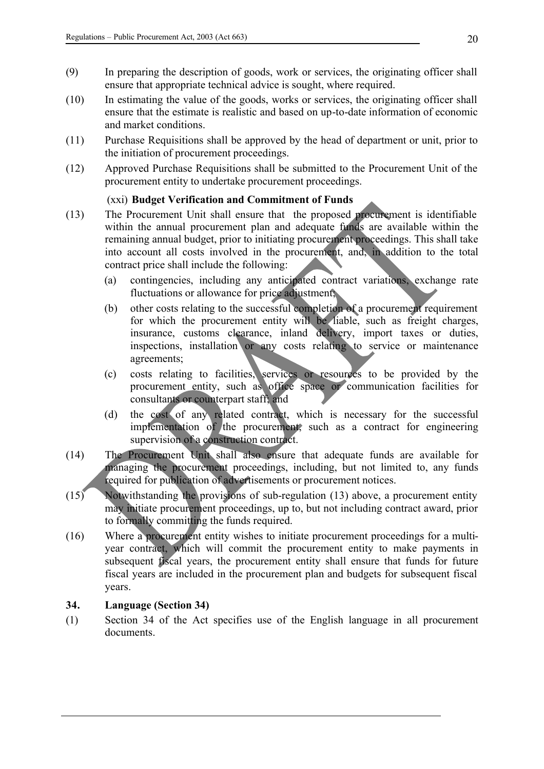- (9) In preparing the description of goods, work or services, the originating officer shall ensure that appropriate technical advice is sought, where required.
- (10) In estimating the value of the goods, works or services, the originating officer shall ensure that the estimate is realistic and based on up-to-date information of economic and market conditions.
- (11) Purchase Requisitions shall be approved by the head of department or unit, prior to the initiation of procurement proceedings.
- (12) Approved Purchase Requisitions shall be submitted to the Procurement Unit of the procurement entity to undertake procurement proceedings.

### (xxi) **Budget Verification and Commitment of Funds**

- (13) The Procurement Unit shall ensure that the proposed procurement is identifiable within the annual procurement plan and adequate funds are available within the remaining annual budget, prior to initiating procurement proceedings. This shall take into account all costs involved in the procurement, and, in addition to the total contract price shall include the following:
	- (a) contingencies, including any anticipated contract variations, exchange rate fluctuations or allowance for price adjustment;
	- (b) other costs relating to the successful completion of a procurement requirement for which the procurement entity will be liable, such as freight charges, insurance, customs clearance, inland delivery, import taxes or duties, inspections, installation or any costs relating to service or maintenance agreements;
	- (c) costs relating to facilities, services or resources to be provided by the procurement entity, such as office space or communication facilities for consultants or counterpart staff; and
	- (d) the cost of any related contract, which is necessary for the successful implementation of the procurement, such as a contract for engineering supervision of a construction contract.
- (14) The Procurement Unit shall also ensure that adequate funds are available for managing the procurement proceedings, including, but not limited to, any funds required for publication of advertisements or procurement notices.
- (15) Notwithstanding the provisions of sub-regulation (13) above, a procurement entity may initiate procurement proceedings, up to, but not including contract award, prior to formally committing the funds required.
- (16) Where a procurement entity wishes to initiate procurement proceedings for a multiyear contract, which will commit the procurement entity to make payments in subsequent fiscal years, the procurement entity shall ensure that funds for future fiscal years are included in the procurement plan and budgets for subsequent fiscal years.

#### **34. Language (Section 34)**

(1) Section 34 of the Act specifies use of the English language in all procurement documents.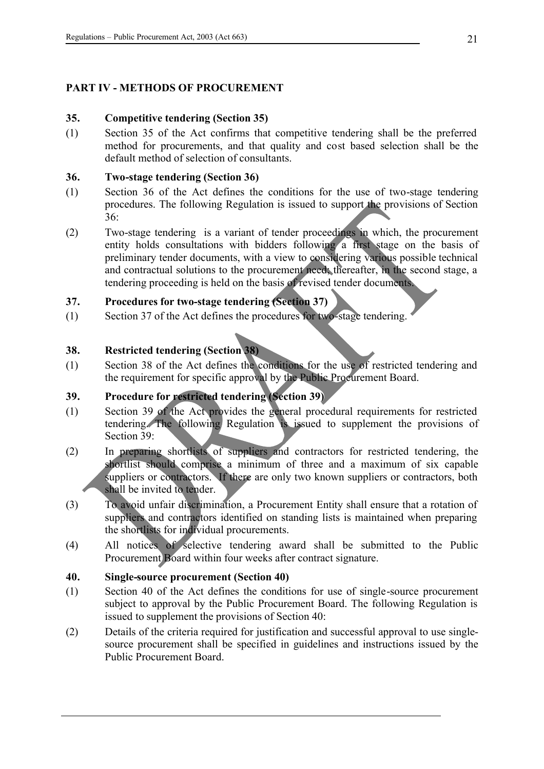# **PART IV - METHODS OF PROCUREMENT**

### **35. Competitive tendering (Section 35)**

(1) Section 35 of the Act confirms that competitive tendering shall be the preferred method for procurements, and that quality and cost based selection shall be the default method of selection of consultants.

### **36. Two-stage tendering (Section 36)**

- (1) Section 36 of the Act defines the conditions for the use of two-stage tendering procedures. The following Regulation is issued to support the provisions of Section 36:
- (2) Two-stage tendering is a variant of tender proceedings in which, the procurement entity holds consultations with bidders following a first stage on the basis of preliminary tender documents, with a view to considering various possible technical and contractual solutions to the procurement need; thereafter, in the second stage, a tendering proceeding is held on the basis of revised tender documents.

# **37. Procedures for two-stage tendering (Section 37)**

(1) Section 37 of the Act defines the procedures for two-stage tendering.

# **38. Restricted tendering (Section 38)**

(1) Section 38 of the Act defines the conditions for the use of restricted tendering and the requirement for specific approval by the Public Procurement Board.

# **39. Procedure for restricted tendering (Section 39)**

- (1) Section 39 of the Act provides the general procedural requirements for restricted tendering. The following Regulation is issued to supplement the provisions of Section 39:
- (2) In preparing shortlists of suppliers and contractors for restricted tendering, the shortlist should comprise a minimum of three and a maximum of six capable suppliers or contractors. If there are only two known suppliers or contractors, both shall be invited to tender.
- (3) To avoid unfair discrimination, a Procurement Entity shall ensure that a rotation of suppliers and contractors identified on standing lists is maintained when preparing the shortlists for individual procurements.
- (4) All notices of selective tendering award shall be submitted to the Public Procurement Board within four weeks after contract signature.

#### **40. Single-source procurement (Section 40)**

- (1) Section 40 of the Act defines the conditions for use of single-source procurement subject to approval by the Public Procurement Board. The following Regulation is issued to supplement the provisions of Section 40:
- (2) Details of the criteria required for justification and successful approval to use singlesource procurement shall be specified in guidelines and instructions issued by the Public Procurement Board.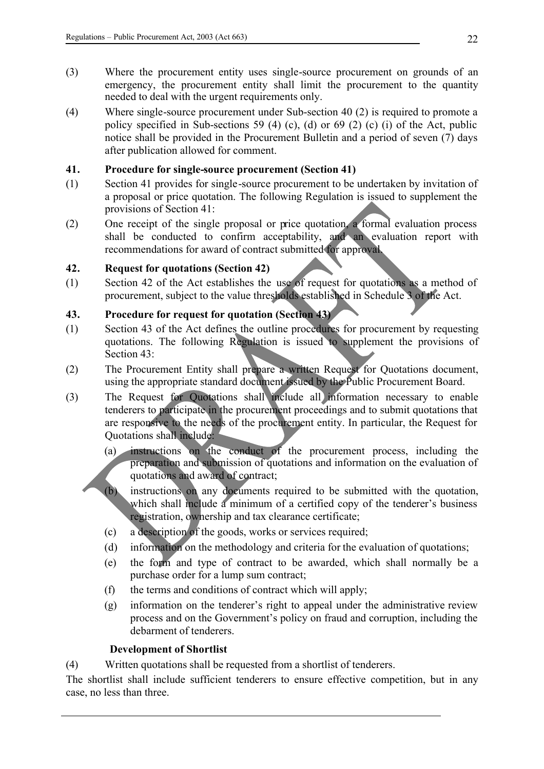- (3) Where the procurement entity uses single-source procurement on grounds of an emergency, the procurement entity shall limit the procurement to the quantity needed to deal with the urgent requirements only.
- (4) Where single-source procurement under Sub-section 40 (2) is required to promote a policy specified in Sub-sections 59 (4) (c), (d) or 69 (2) (c) (i) of the Act, public notice shall be provided in the Procurement Bulletin and a period of seven (7) days after publication allowed for comment.

### **41. Procedure for single-source procurement (Section 41)**

- (1) Section 41 provides for single-source procurement to be undertaken by invitation of a proposal or price quotation. The following Regulation is issued to supplement the provisions of Section 41:
- (2) One receipt of the single proposal or price quotation, a formal evaluation process shall be conducted to confirm acceptability, and an evaluation report with recommendations for award of contract submitted for approval.

### **42. Request for quotations (Section 42)**

(1) Section 42 of the Act establishes the use of request for quotations as a method of procurement, subject to the value thresholds established in Schedule 3 of the Act.

# **43. Procedure for request for quotation (Section 43)**

- (1) Section 43 of the Act defines the outline procedures for procurement by requesting quotations. The following Regulation is issued to supplement the provisions of Section 43:
- (2) The Procurement Entity shall prepare a written Request for Quotations document, using the appropriate standard document issued by the Public Procurement Board.
- (3) The Request for Quotations shall include all information necessary to enable tenderers to participate in the procurement proceedings and to submit quotations that are responsive to the needs of the procurement entity. In particular, the Request for Quotations shall include:
	- (a) instructions on the conduct of the procurement process, including the preparation and submission of quotations and information on the evaluation of quotations and award of contract;
	- (b) instructions on any documents required to be submitted with the quotation, which shall include a minimum of a certified copy of the tenderer's business registration, ownership and tax clearance certificate;
	- (c) a description of the goods, works or services required;
	- (d) information on the methodology and criteria for the evaluation of quotations;
	- (e) the form and type of contract to be awarded, which shall normally be a purchase order for a lump sum contract;
	- (f) the terms and conditions of contract which will apply;
	- (g) information on the tenderer's right to appeal under the administrative review process and on the Government's policy on fraud and corruption, including the debarment of tenderers.

#### **Development of Shortlist**

(4) Written quotations shall be requested from a shortlist of tenderers.

The shortlist shall include sufficient tenderers to ensure effective competition, but in any case, no less than three.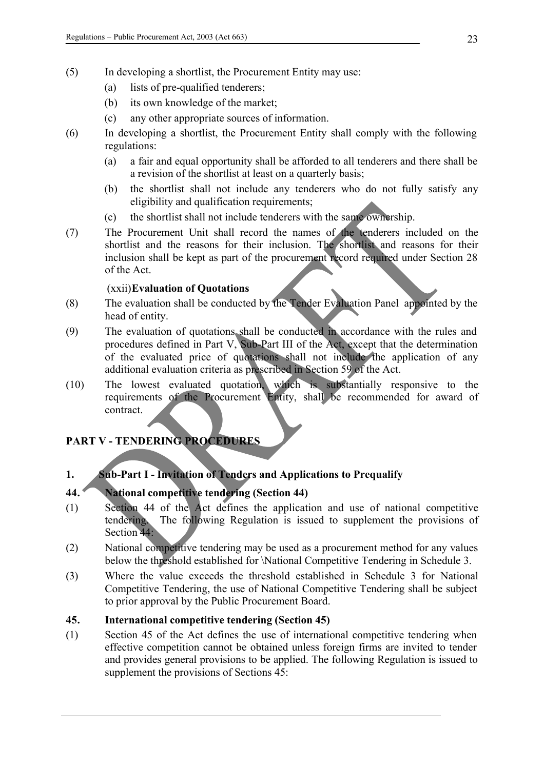- (5) In developing a shortlist, the Procurement Entity may use:
	- (a) lists of pre-qualified tenderers;
	- (b) its own knowledge of the market;
	- (c) any other appropriate sources of information.
- (6) In developing a shortlist, the Procurement Entity shall comply with the following regulations:
	- (a) a fair and equal opportunity shall be afforded to all tenderers and there shall be a revision of the shortlist at least on a quarterly basis;
	- (b) the shortlist shall not include any tenderers who do not fully satisfy any eligibility and qualification requirements;
	- (c) the shortlist shall not include tenderers with the same ownership.
- (7) The Procurement Unit shall record the names of the tenderers included on the shortlist and the reasons for their inclusion. The shortlist and reasons for their inclusion shall be kept as part of the procurement record required under Section 28 of the Act.

### (xxii)**Evaluation of Quotations**

- (8) The evaluation shall be conducted by the Tender Evaluation Panel appointed by the head of entity.
- (9) The evaluation of quotations shall be conducted in accordance with the rules and procedures defined in Part V, Sub-Part III of the Act, except that the determination of the evaluated price of quotations shall not include the application of any additional evaluation criteria as prescribed in Section 59 of the Act.
- (10) The lowest evaluated quotation, which is substantially responsive to the requirements of the Procurement Entity, shall be recommended for award of contract.

# **PART V - TENDERING PROCEDURES**

# **1. Sub-Part I - Invitation of Tenders and Applications to Prequalify**

# **44. National competitive tendering (Section 44)**

- (1) Section 44 of the Act defines the application and use of national competitive tendering. The following Regulation is issued to supplement the provisions of Section 44:
- (2) National competitive tendering may be used as a procurement method for any values below the threshold established for \National Competitive Tendering in Schedule 3.
- (3) Where the value exceeds the threshold established in Schedule 3 for National Competitive Tendering, the use of National Competitive Tendering shall be subject to prior approval by the Public Procurement Board.

### **45. International competitive tendering (Section 45)**

(1) Section 45 of the Act defines the use of international competitive tendering when effective competition cannot be obtained unless foreign firms are invited to tender and provides general provisions to be applied. The following Regulation is issued to supplement the provisions of Sections 45: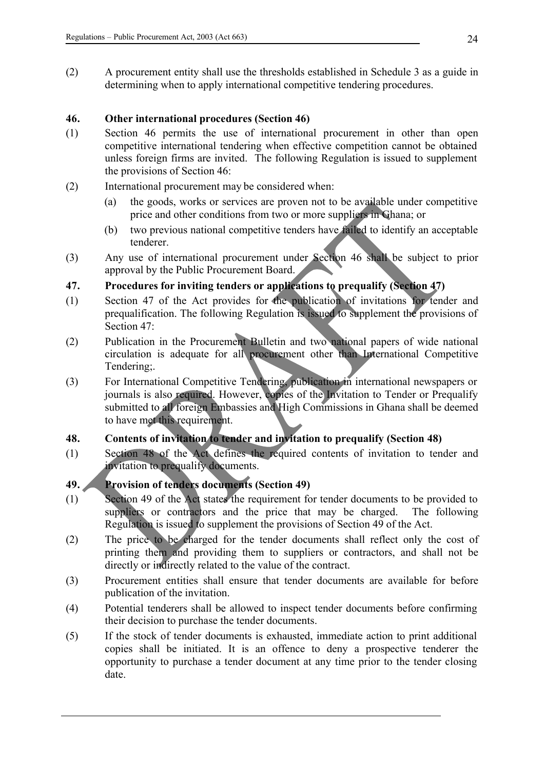(2) A procurement entity shall use the thresholds established in Schedule 3 as a guide in determining when to apply international competitive tendering procedures.

### **46. Other international procedures (Section 46)**

- (1) Section 46 permits the use of international procurement in other than open competitive international tendering when effective competition cannot be obtained unless foreign firms are invited. The following Regulation is issued to supplement the provisions of Section 46:
- (2) International procurement may be considered when:
	- (a) the goods, works or services are proven not to be available under competitive price and other conditions from two or more suppliers in Ghana; or
	- (b) two previous national competitive tenders have failed to identify an acceptable tenderer.
- (3) Any use of international procurement under Section 46 shall be subject to prior approval by the Public Procurement Board.

# **47. Procedures for inviting tenders or applications to prequalify (Section 47)**

- (1) Section 47 of the Act provides for the publication of invitations for tender and prequalification. The following Regulation is issued to supplement the provisions of Section 47:
- (2) Publication in the Procurement Bulletin and two national papers of wide national circulation is adequate for all procurement other than International Competitive Tendering<sup>.</sup>
- (3) For International Competitive Tendering, publication in international newspapers or journals is also required. However, copies of the Invitation to Tender or Prequalify submitted to all foreign Embassies and High Commissions in Ghana shall be deemed to have met this requirement.

# **48. Contents of invitation to tender and invitation to prequalify (Section 48)**

(1) Section 48 of the Act defines the required contents of invitation to tender and invitation to prequalify documents.

# **49. Provision of tenders documents (Section 49)**

- (1) Section 49 of the Act states the requirement for tender documents to be provided to suppliers or contractors and the price that may be charged. The following Regulation is issued to supplement the provisions of Section 49 of the Act.
- (2) The price to be charged for the tender documents shall reflect only the cost of printing them and providing them to suppliers or contractors, and shall not be directly or indirectly related to the value of the contract.
- (3) Procurement entities shall ensure that tender documents are available for before publication of the invitation.
- (4) Potential tenderers shall be allowed to inspect tender documents before confirming their decision to purchase the tender documents.
- (5) If the stock of tender documents is exhausted, immediate action to print additional copies shall be initiated. It is an offence to deny a prospective tenderer the opportunity to purchase a tender document at any time prior to the tender closing date.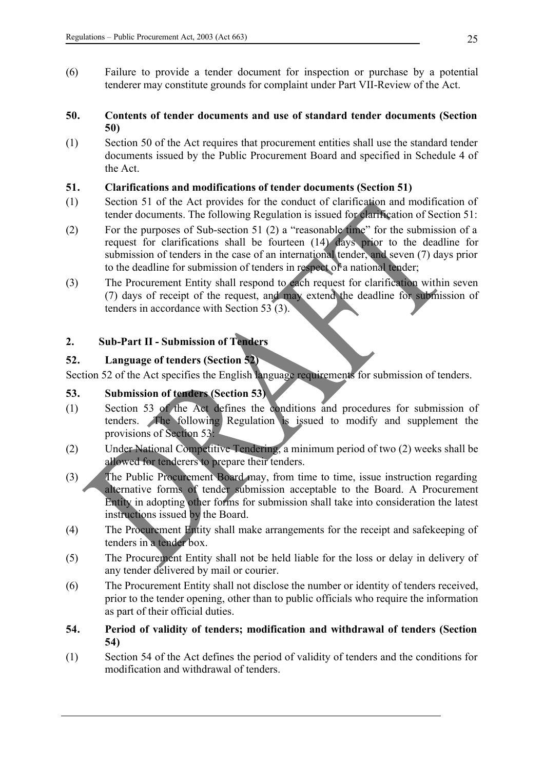(6) Failure to provide a tender document for inspection or purchase by a potential tenderer may constitute grounds for complaint under Part VII-Review of the Act.

### **50. Contents of tender documents and use of standard tender documents (Section 50)**

(1) Section 50 of the Act requires that procurement entities shall use the standard tender documents issued by the Public Procurement Board and specified in Schedule 4 of the Act.

### **51. Clarifications and modifications of tender documents (Section 51)**

- (1) Section 51 of the Act provides for the conduct of clarification and modification of tender documents. The following Regulation is issued for clarification of Section 51:
- (2) For the purposes of Sub-section 51 (2) a "reasonable time" for the submission of a request for clarifications shall be fourteen (14) days prior to the deadline for submission of tenders in the case of an international tender, and seven (7) days prior to the deadline for submission of tenders in respect of a national tender;
- (3) The Procurement Entity shall respond to each request for clarification within seven (7) days of receipt of the request, and may extend the deadline for submission of tenders in accordance with Section 53 (3).

# **2. Sub-Part II - Submission of Tenders**

### **52. Language of tenders (Section 52)**

Section 52 of the Act specifies the English language requirements for submission of tenders.

#### **53. Submission of tenders (Section 53)**

- (1) Section 53 of the Act defines the conditions and procedures for submission of tenders. The following Regulation is issued to modify and supplement the provisions of Section 53:
- (2) Under National Competitive Tendering, a minimum period of two (2) weeks shall be allowed for tenderers to prepare their tenders.
- (3) The Public Procurement Board may, from time to time, issue instruction regarding alternative forms of tender submission acceptable to the Board. A Procurement Entity in adopting other forms for submission shall take into consideration the latest instructions issued by the Board.
- (4) The Procurement Entity shall make arrangements for the receipt and safekeeping of tenders in a tender box.
- (5) The Procurement Entity shall not be held liable for the loss or delay in delivery of any tender delivered by mail or courier.
- (6) The Procurement Entity shall not disclose the number or identity of tenders received, prior to the tender opening, other than to public officials who require the information as part of their official duties.
- **54. Period of validity of tenders; modification and withdrawal of tenders (Section 54)**
- (1) Section 54 of the Act defines the period of validity of tenders and the conditions for modification and withdrawal of tenders.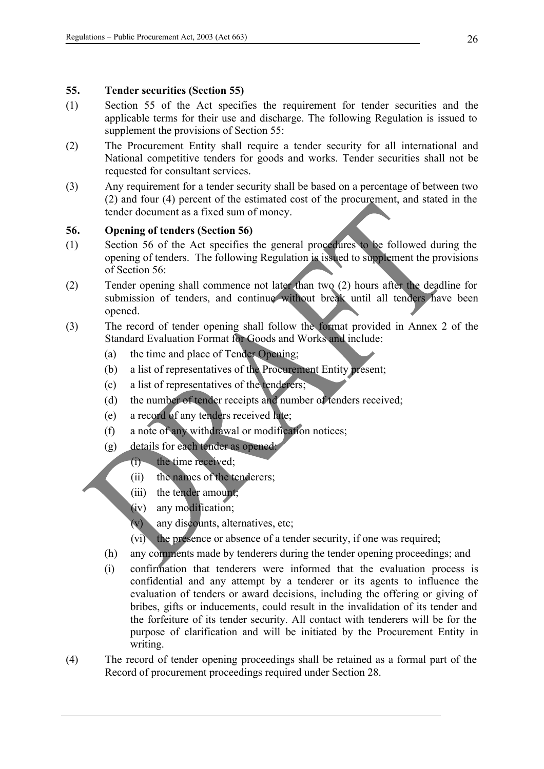#### **55. Tender securities (Section 55)**

- (1) Section 55 of the Act specifies the requirement for tender securities and the applicable terms for their use and discharge. The following Regulation is issued to supplement the provisions of Section 55:
- (2) The Procurement Entity shall require a tender security for all international and National competitive tenders for goods and works. Tender securities shall not be requested for consultant services.
- (3) Any requirement for a tender security shall be based on a percentage of between two (2) and four (4) percent of the estimated cost of the procurement, and stated in the tender document as a fixed sum of money.

#### **56. Opening of tenders (Section 56)**

- (1) Section 56 of the Act specifies the general procedures to be followed during the opening of tenders. The following Regulation is issued to supplement the provisions of Section 56:
- (2) Tender opening shall commence not later than two (2) hours after the deadline for submission of tenders, and continue without break until all tenders have been opened.
- (3) The record of tender opening shall follow the format provided in Annex 2 of the Standard Evaluation Format for Goods and Works and include:
	- (a) the time and place of Tender Opening;
	- (b) a list of representatives of the Procurement Entity present;
	- (c) a list of representatives of the tenderers;
	- (d) the number of tender receipts and number of tenders received;
	- (e) a record of any tenders received late;
	- (f) a note of any withdrawal or modification notices;
	- (g) details for each tender as opened:
		- (i) the time received;
			- (ii) the names of the tenderers;
			- (iii) the tender amount;
			- (iv) any modification;
			- (v) any discounts, alternatives, etc;
			- (vi) the presence or absence of a tender security, if one was required;
	- (h) any comments made by tenderers during the tender opening proceedings; and
	- (i) confirmation that tenderers were informed that the evaluation process is confidential and any attempt by a tenderer or its agents to influence the evaluation of tenders or award decisions, including the offering or giving of bribes, gifts or inducements, could result in the invalidation of its tender and the forfeiture of its tender security. All contact with tenderers will be for the purpose of clarification and will be initiated by the Procurement Entity in writing.
- (4) The record of tender opening proceedings shall be retained as a formal part of the Record of procurement proceedings required under Section 28.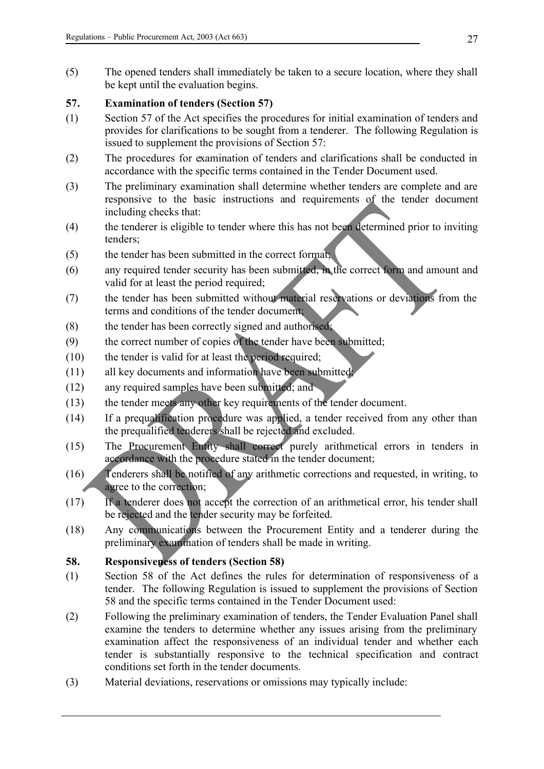(5) The opened tenders shall immediately be taken to a secure location, where they shall be kept until the evaluation begins.

# **57. Examination of tenders (Section 57)**

- (1) Section 57 of the Act specifies the procedures for initial examination of tenders and provides for clarifications to be sought from a tenderer. The following Regulation is issued to supplement the provisions of Section 57:
- (2) The procedures for examination of tenders and clarifications shall be conducted in accordance with the specific terms contained in the Tender Document used.
- (3) The preliminary examination shall determine whether tenders are complete and are responsive to the basic instructions and requirements of the tender document including checks that:
- (4) the tenderer is eligible to tender where this has not been determined prior to inviting tenders;
- (5) the tender has been submitted in the correct format;
- (6) any required tender security has been submitted, in the correct form and amount and valid for at least the period required;
- (7) the tender has been submitted without material reservations or deviations from the terms and conditions of the tender document;
- (8) the tender has been correctly signed and authorised;
- (9) the correct number of copies of the tender have been submitted;
- (10) the tender is valid for at least the period required;
- (11) all key documents and information have been submitted;
- (12) any required samples have been submitted; and
- (13) the tender meets any other key requirements of the tender document.
- (14) If a prequalification procedure was applied, a tender received from any other than the prequalified tenderers shall be rejected and excluded.
- (15) The Procurement Entity shall correct purely arithmetical errors in tenders in accordance with the procedure stated in the tender document;
- (16) Tenderers shall be notified of any arithmetic corrections and requested, in writing, to agree to the correction;
- (17) If a tenderer does not accept the correction of an arithmetical error, his tender shall be rejected and the tender security may be forfeited.
- (18) Any communications between the Procurement Entity and a tenderer during the preliminary examination of tenders shall be made in writing.

# **58. Responsiveness of tenders (Section 58)**

- (1) Section 58 of the Act defines the rules for determination of responsiveness of a tender. The following Regulation is issued to supplement the provisions of Section 58 and the specific terms contained in the Tender Document used:
- (2) Following the preliminary examination of tenders, the Tender Evaluation Panel shall examine the tenders to determine whether any issues arising from the preliminary examination affect the responsiveness of an individual tender and whether each tender is substantially responsive to the technical specification and contract conditions set forth in the tender documents.
- (3) Material deviations, reservations or omissions may typically include: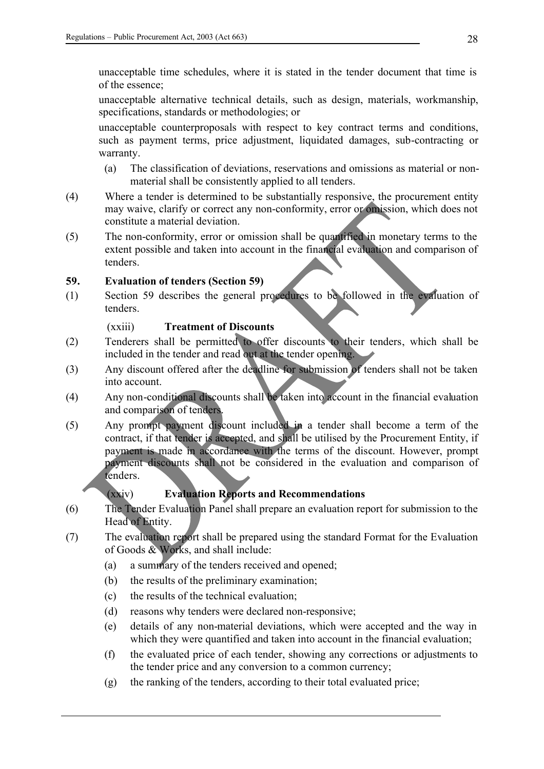unacceptable time schedules, where it is stated in the tender document that time is of the essence;

unacceptable alternative technical details, such as design, materials, workmanship, specifications, standards or methodologies; or

unacceptable counterproposals with respect to key contract terms and conditions, such as payment terms, price adjustment, liquidated damages, sub-contracting or warranty.

- (a) The classification of deviations, reservations and omissions as material or nonmaterial shall be consistently applied to all tenders.
- (4) Where a tender is determined to be substantially responsive, the procurement entity may waive, clarify or correct any non-conformity, error or omission, which does not constitute a material deviation.
- (5) The non-conformity, error or omission shall be quantified in monetary terms to the extent possible and taken into account in the financial evaluation and comparison of tenders.

# **59. Evaluation of tenders (Section 59)**

(1) Section 59 describes the general procedures to be followed in the evaluation of tenders.

# (xxiii) **Treatment of Discounts**

- (2) Tenderers shall be permitted to offer discounts to their tenders, which shall be included in the tender and read out at the tender opening.
- (3) Any discount offered after the deadline for submission of tenders shall not be taken into account.
- (4) Any non-conditional discounts shall be taken into account in the financial evaluation and comparison of tenders.
- (5) Any prompt payment discount included in a tender shall become a term of the contract, if that tender is accepted, and shall be utilised by the Procurement Entity, if payment is made in accordance with the terms of the discount. However, prompt payment discounts shall not be considered in the evaluation and comparison of tenders.

# (xxiv) **Evaluation Reports and Recommendations**

- (6) The Tender Evaluation Panel shall prepare an evaluation report for submission to the Head of Entity.
- (7) The evaluation report shall be prepared using the standard Format for the Evaluation of Goods & Works, and shall include:
	- (a) a summary of the tenders received and opened;
	- (b) the results of the preliminary examination;
	- (c) the results of the technical evaluation;
	- (d) reasons why tenders were declared non-responsive;
	- (e) details of any non-material deviations, which were accepted and the way in which they were quantified and taken into account in the financial evaluation;
	- (f) the evaluated price of each tender, showing any corrections or adjustments to the tender price and any conversion to a common currency;
	- (g) the ranking of the tenders, according to their total evaluated price;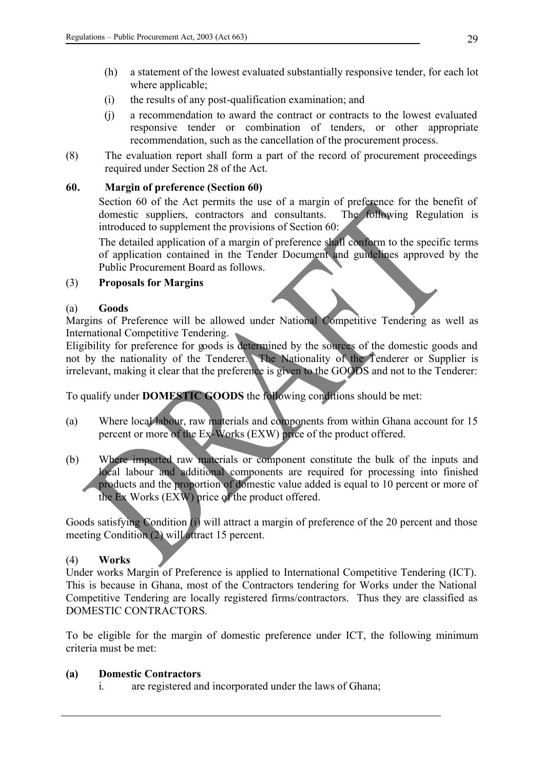- (h) a statement of the lowest evaluated substantially responsive tender, for each lot where applicable;
- (i) the results of any post-qualification examination; and
- (j) a recommendation to award the contract or contracts to the lowest evaluated responsive tender or combination of tenders, or other appropriate recommendation, such as the cancellation of the procurement process.
- (8) The evaluation report shall form a part of the record of procurement proceedings required under Section 28 of the Act.

### **60. Margin of preference (Section 60)**

Section 60 of the Act permits the use of a margin of preference for the benefit of domestic suppliers, contractors and consultants. The following Regulation is introduced to supplement the provisions of Section 60:

The detailed application of a margin of preference shall conform to the specific terms of application contained in the Tender Document and guidelines approved by the Public Procurement Board as follows.

#### (3) **Proposals for Margins**

#### (a) **Goods**

Margins of Preference will be allowed under National Competitive Tendering as well as International Competitive Tendering.

Eligibility for preference for goods is determined by the sources of the domestic goods and not by the nationality of the Tenderer. The Nationality of the Tenderer or Supplier is irrelevant, making it clear that the preference is given to the GOODS and not to the Tenderer:

To qualify under **DOMESTIC GOODS** the following conditions should be met:

- (a) Where local labour, raw materials and components from within Ghana account for 15 percent or more of the Ex-Works (EXW) price of the product offered.
- (b) Where imported raw materials or component constitute the bulk of the inputs and local labour and additional components are required for processing into finished products and the proportion of domestic value added is equal to 10 percent or more of the Ex Works (EXW) price of the product offered.

Goods satisfying Condition (i) will attract a margin of preference of the 20 percent and those meeting Condition (2) will attract 15 percent.

#### (4) **Works**

Under works Margin of Preference is applied to International Competitive Tendering (ICT). This is because in Ghana, most of the Contractors tendering for Works under the National Competitive Tendering are locally registered firms/contractors. Thus they are classified as DOMESTIC CONTRACTORS.

To be eligible for the margin of domestic preference under ICT, the following minimum criteria must be met:

#### **(a) Domestic Contractors**

i. are registered and incorporated under the laws of Ghana;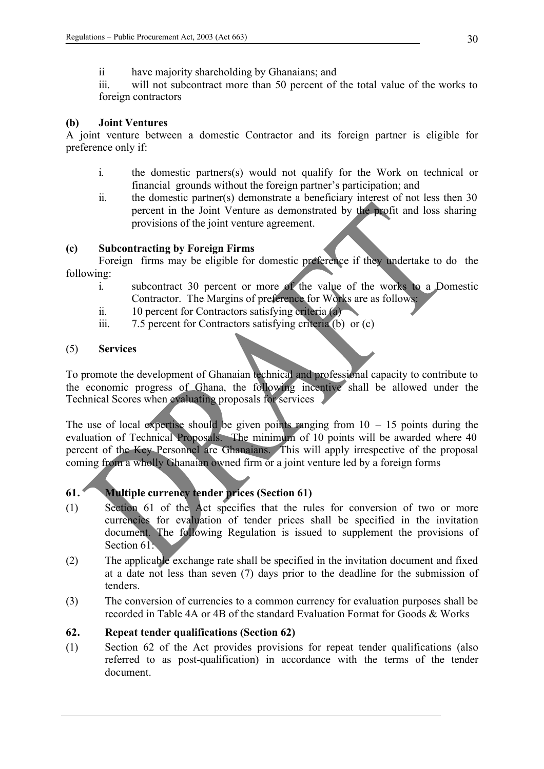ii have majority shareholding by Ghanaians; and

iii. will not subcontract more than 50 percent of the total value of the works to foreign contractors

#### **(b) Joint Ventures**

A joint venture between a domestic Contractor and its foreign partner is eligible for preference only if:

- i. the domestic partners(s) would not qualify for the Work on technical or financial grounds without the foreign partner's participation; and
- ii. the domestic partner(s) demonstrate a beneficiary interest of not less then 30 percent in the Joint Venture as demonstrated by the profit and loss sharing provisions of the joint venture agreement.

### **(c) Subcontracting by Foreign Firms**

Foreign firms may be eligible for domestic preference if they undertake to do the following:

- i. subcontract 30 percent or more of the value of the works to a Domestic Contractor. The Margins of preference for Works are as follows:
- ii. 10 percent for Contractors satisfying criteria (a)
- iii. 7.5 percent for Contractors satisfying criteria (b) or (c)

#### (5) **Services**

To promote the development of Ghanaian technical and professional capacity to contribute to the economic progress of Ghana, the following incentive shall be allowed under the Technical Scores when evaluating proposals for services

The use of local expertise should be given points ranging from  $10 - 15$  points during the evaluation of Technical Proposals. The minimum of 10 points will be awarded where 40 percent of the Key Personnel are Ghanaians. This will apply irrespective of the proposal coming from a wholly Ghanaian owned firm or a joint venture led by a foreign forms

# **61. Multiple currency tender prices (Section 61)**

- (1) Section 61 of the Act specifies that the rules for conversion of two or more currencies for evaluation of tender prices shall be specified in the invitation document. The following Regulation is issued to supplement the provisions of Section 61:
- (2) The applicable exchange rate shall be specified in the invitation document and fixed at a date not less than seven (7) days prior to the deadline for the submission of tenders.
- (3) The conversion of currencies to a common currency for evaluation purposes shall be recorded in Table 4A or 4B of the standard Evaluation Format for Goods & Works

# **62. Repeat tender qualifications (Section 62)**

(1) Section 62 of the Act provides provisions for repeat tender qualifications (also referred to as post-qualification) in accordance with the terms of the tender document.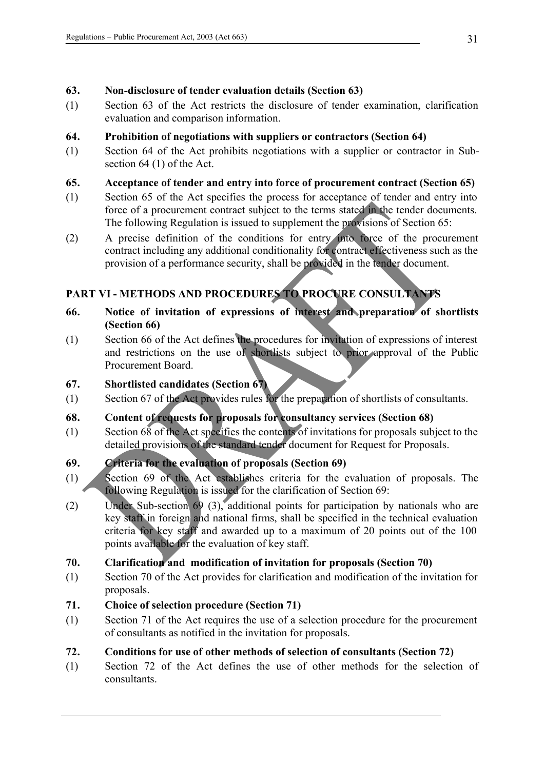# **63. Non-disclosure of tender evaluation details (Section 63)**

(1) Section 63 of the Act restricts the disclosure of tender examination, clarification evaluation and comparison information.

# **64. Prohibition of negotiations with suppliers or contractors (Section 64)**

(1) Section 64 of the Act prohibits negotiations with a supplier or contractor in Subsection 64 (1) of the Act.

# **65. Acceptance of tender and entry into force of procurement contract (Section 65)**

- (1) Section 65 of the Act specifies the process for acceptance of tender and entry into force of a procurement contract subject to the terms stated in the tender documents. The following Regulation is issued to supplement the provisions of Section 65:
- (2) A precise definition of the conditions for entry into force of the procurement contract including any additional conditionality for contract effectiveness such as the provision of a performance security, shall be provided in the tender document.

# **PART VI - METHODS AND PROCEDURES TO PROCURE CONSULTANTS**

- **66. Notice of invitation of expressions of interest and preparation of shortlists (Section 66)**
- (1) Section 66 of the Act defines the procedures for invitation of expressions of interest and restrictions on the use of shortlists subject to prior approval of the Public Procurement Board.

# **67. Shortlisted candidates (Section 67)**

(1) Section 67 of the Act provides rules for the preparation of shortlists of consultants.

# **68. Content of requests for proposals for consultancy services (Section 68)**

(1) Section 68 of the Act specifies the contents of invitations for proposals subject to the detailed provisions of the standard tender document for Request for Proposals.

# **69. Criteria for the evaluation of proposals (Section 69)**

- (1) Section 69 of the Act establishes criteria for the evaluation of proposals. The following Regulation is issued for the clarification of Section 69:
- (2) Under Sub-section 69 (3), additional points for participation by nationals who are key staff in foreign and national firms, shall be specified in the technical evaluation criteria for key staff and awarded up to a maximum of 20 points out of the 100 points available for the evaluation of key staff.

# **70. Clarification and modification of invitation for proposals (Section 70)**

- (1) Section 70 of the Act provides for clarification and modification of the invitation for proposals.
- **71. Choice of selection procedure (Section 71)**
- (1) Section 71 of the Act requires the use of a selection procedure for the procurement of consultants as notified in the invitation for proposals.

# **72. Conditions for use of other methods of selection of consultants (Section 72)**

(1) Section 72 of the Act defines the use of other methods for the selection of consultants.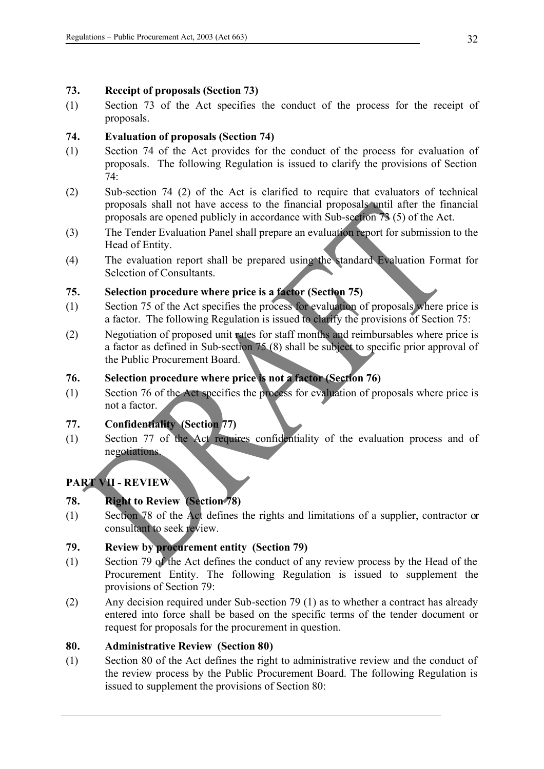### **73. Receipt of proposals (Section 73)**

(1) Section 73 of the Act specifies the conduct of the process for the receipt of proposals.

# **74. Evaluation of proposals (Section 74)**

- (1) Section 74 of the Act provides for the conduct of the process for evaluation of proposals. The following Regulation is issued to clarify the provisions of Section 74:
- (2) Sub-section 74 (2) of the Act is clarified to require that evaluators of technical proposals shall not have access to the financial proposals until after the financial proposals are opened publicly in accordance with Sub-section 73 (5) of the Act.
- (3) The Tender Evaluation Panel shall prepare an evaluation report for submission to the Head of Entity.
- (4) The evaluation report shall be prepared using the standard Evaluation Format for Selection of Consultants.

# **75. Selection procedure where price is a factor (Section 75)**

- (1) Section 75 of the Act specifies the process for evaluation of proposals where price is a factor. The following Regulation is issued to clarify the provisions of Section 75:
- (2) Negotiation of proposed unit rates for staff months and reimbursables where price is a factor as defined in Sub-section 75 (8) shall be subject to specific prior approval of the Public Procurement Board.

# **76. Selection procedure where price is not a factor (Section 76)**

(1) Section 76 of the Act specifies the process for evaluation of proposals where price is not a factor.

# **77. Confidentiality (Section 77)**

(1) Section 77 of the Act requires confidentiality of the evaluation process and of negotiations.

# **PART VII - REVIEW**

# **78. Right to Review (Section 78)**

(1) Section 78 of the Act defines the rights and limitations of a supplier, contractor or consultant to seek review.

# **79. Review by procurement entity (Section 79)**

- (1) Section 79 of the Act defines the conduct of any review process by the Head of the Procurement Entity. The following Regulation is issued to supplement the provisions of Section 79:
- (2) Any decision required under Sub-section 79 (1) as to whether a contract has already entered into force shall be based on the specific terms of the tender document or request for proposals for the procurement in question.

# **80. Administrative Review (Section 80)**

(1) Section 80 of the Act defines the right to administrative review and the conduct of the review process by the Public Procurement Board. The following Regulation is issued to supplement the provisions of Section 80: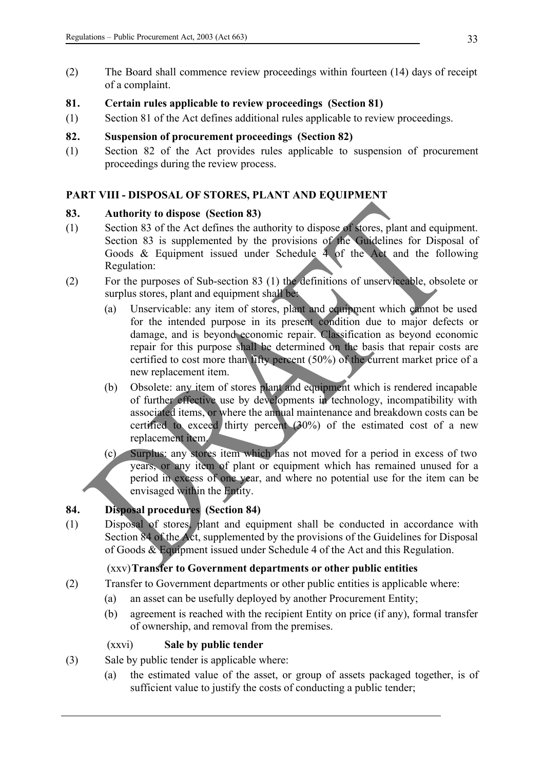(2) The Board shall commence review proceedings within fourteen (14) days of receipt of a complaint.

# **81. Certain rules applicable to review proceedings (Section 81)**

(1) Section 81 of the Act defines additional rules applicable to review proceedings.

### **82. Suspension of procurement proceedings (Section 82)**

(1) Section 82 of the Act provides rules applicable to suspension of procurement proceedings during the review process.

### **PART VIII - DISPOSAL OF STORES, PLANT AND EQUIPMENT**

#### **83. Authority to dispose (Section 83)**

- (1) Section 83 of the Act defines the authority to dispose of stores, plant and equipment. Section 83 is supplemented by the provisions of the Guidelines for Disposal of Goods & Equipment issued under Schedule 4 of the Act and the following Regulation:
- (2) For the purposes of Sub-section 83 (1) the definitions of unserviceable, obsolete or surplus stores, plant and equipment shall be:
	- (a) Unservicable: any item of stores, plant and equipment which cannot be used for the intended purpose in its present condition due to major defects or damage, and is beyond economic repair. Classification as beyond economic repair for this purpose shall be determined on the basis that repair costs are certified to cost more than fifty percent (50%) of the current market price of a new replacement item.
	- (b) Obsolete: any item of stores plant and equipment which is rendered incapable of further effective use by developments in technology, incompatibility with associated items, or where the annual maintenance and breakdown costs can be certified to exceed thirty percent (30%) of the estimated cost of a new replacement item.
	- (c) Surplus: any stores item which has not moved for a period in excess of two years, or any item of plant or equipment which has remained unused for a period in excess of one year, and where no potential use for the item can be envisaged within the Entity.

# **84. Disposal procedures (Section 84)**

(1) Disposal of stores, plant and equipment shall be conducted in accordance with Section 84 of the Act, supplemented by the provisions of the Guidelines for Disposal of Goods & Equipment issued under Schedule 4 of the Act and this Regulation.

# (xxv)**Transfer to Government departments or other public entities**

- (2) Transfer to Government departments or other public entities is applicable where:
	- (a) an asset can be usefully deployed by another Procurement Entity;
	- (b) agreement is reached with the recipient Entity on price (if any), formal transfer of ownership, and removal from the premises.

# (xxvi) **Sale by public tender**

- (3) Sale by public tender is applicable where:
	- (a) the estimated value of the asset, or group of assets packaged together, is of sufficient value to justify the costs of conducting a public tender;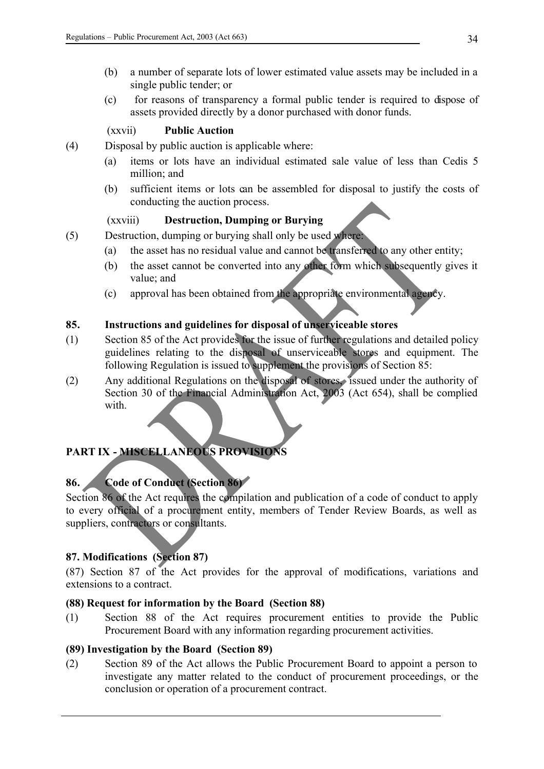- (b) a number of separate lots of lower estimated value assets may be included in a single public tender; or
- (c) for reasons of transparency a formal public tender is required to dispose of assets provided directly by a donor purchased with donor funds.

# (xxvii) **Public Auction**

- (4) Disposal by public auction is applicable where:
	- (a) items or lots have an individual estimated sale value of less than Cedis 5 million; and
	- (b) sufficient items or lots can be assembled for disposal to justify the costs of conducting the auction process.

#### (xxviii) **Destruction, Dumping or Burying**

- (5) Destruction, dumping or burying shall only be used where:
	- (a) the asset has no residual value and cannot be transferred to any other entity;
	- (b) the asset cannot be converted into any other form which subsequently gives it value; and
	- (c) approval has been obtained from the appropriate environmental agency.

### **85. Instructions and guidelines for disposal of unserviceable stores**

- (1) Section 85 of the Act provides for the issue of further regulations and detailed policy guidelines relating to the disposal of unserviceable stores and equipment. The following Regulation is issued to supplement the provisions of Section 85:
- (2) Any additional Regulations on the disposal of stores, issued under the authority of Section 30 of the Financial Administration Act, 2003 (Act 654), shall be complied with.

# **PART IX - MISCELLANEOUS PROVISIONS**

# **86. Code of Conduct (Section 86)**

Section 86 of the Act requires the compilation and publication of a code of conduct to apply to every official of a procurement entity, members of Tender Review Boards, as well as suppliers, contractors or consultants.

# **87. Modifications (Section 87)**

(87) Section 87 of the Act provides for the approval of modifications, variations and extensions to a contract.

#### **(88) Request for information by the Board (Section 88)**

(1) Section 88 of the Act requires procurement entities to provide the Public Procurement Board with any information regarding procurement activities.

#### **(89) Investigation by the Board (Section 89)**

(2) Section 89 of the Act allows the Public Procurement Board to appoint a person to investigate any matter related to the conduct of procurement proceedings, or the conclusion or operation of a procurement contract.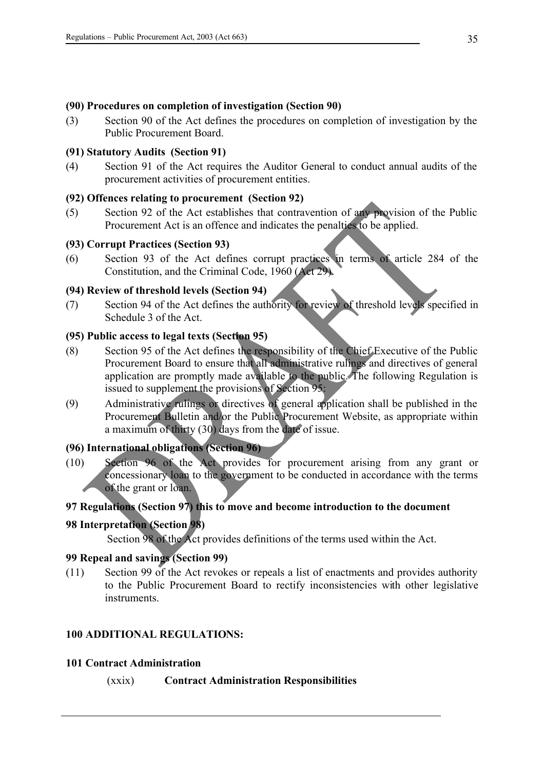### **(90) Procedures on completion of investigation (Section 90)**

(3) Section 90 of the Act defines the procedures on completion of investigation by the Public Procurement Board.

### **(91) Statutory Audits (Section 91)**

(4) Section 91 of the Act requires the Auditor General to conduct annual audits of the procurement activities of procurement entities.

# **(92) Offences relating to procurement (Section 92)**

(5) Section 92 of the Act establishes that contravention of any provision of the Public Procurement Act is an offence and indicates the penalties to be applied.

### **(93) Corrupt Practices (Section 93)**

(6) Section 93 of the Act defines corrupt practices in terms of article 284 of the Constitution, and the Criminal Code, 1960 (Act 29).

### **(94) Review of threshold levels (Section 94)**

(7) Section 94 of the Act defines the authority for review of threshold levels specified in Schedule 3 of the Act.

### **(95) Public access to legal texts (Section 95)**

- (8) Section 95 of the Act defines the responsibility of the Chief Executive of the Public Procurement Board to ensure that all administrative rulings and directives of general application are promptly made available to the public. The following Regulation is issued to supplement the provisions of Section 95:
- (9) Administrative rulings or directives of general application shall be published in the Procurement Bulletin and/or the Public Procurement Website, as appropriate within a maximum of thirty (30) days from the date of issue.

# **(96) International obligations (Section 96)**

(10) Section 96 of the Act provides for procurement arising from any grant or concessionary loan to the government to be conducted in accordance with the terms of the grant or loan.

# **97 Regulations (Section 97) this to move and become introduction to the document**

# **98 Interpretation (Section 98)**

Section 98 of the Act provides definitions of the terms used within the Act.

### **99 Repeal and savings (Section 99)**

(11) Section 99 of the Act revokes or repeals a list of enactments and provides authority to the Public Procurement Board to rectify inconsistencies with other legislative instruments.

# **100 ADDITIONAL REGULATIONS:**

#### **101 Contract Administration**

(xxix) **Contract Administration Responsibilities**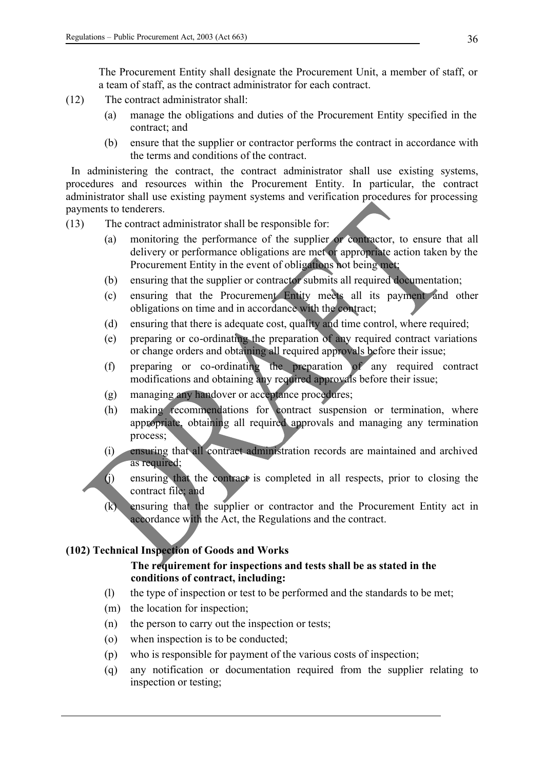The Procurement Entity shall designate the Procurement Unit, a member of staff, or a team of staff, as the contract administrator for each contract.

- (12) The contract administrator shall:
	- (a) manage the obligations and duties of the Procurement Entity specified in the contract; and
	- (b) ensure that the supplier or contractor performs the contract in accordance with the terms and conditions of the contract.

 In administering the contract, the contract administrator shall use existing systems, procedures and resources within the Procurement Entity. In particular, the contract administrator shall use existing payment systems and verification procedures for processing payments to tenderers.

- (13) The contract administrator shall be responsible for:
	- (a) monitoring the performance of the supplier or contractor, to ensure that all delivery or performance obligations are met or appropriate action taken by the Procurement Entity in the event of obligations not being met:
	- (b) ensuring that the supplier or contractor submits all required documentation;
	- (c) ensuring that the Procurement Entity meets all its payment and other obligations on time and in accordance with the contract;
	- (d) ensuring that there is adequate cost, quality and time control, where required;
	- (e) preparing or co-ordinating the preparation of any required contract variations or change orders and obtaining all required approvals before their issue;
	- (f) preparing or co-ordinating the preparation of any required contract modifications and obtaining any required approvals before their issue;
	- (g) managing any handover or acceptance procedures;
	- (h) making recommendations for contract suspension or termination, where appropriate, obtaining all required approvals and managing any termination process;
	- (i) ensuring that all contract administration records are maintained and archived as required;

(j) ensuring that the contract is completed in all respects, prior to closing the contract file; and

(k) ensuring that the supplier or contractor and the Procurement Entity act in accordance with the Act, the Regulations and the contract.

# **(102) Technical Inspection of Goods and Works**

# **The requirement for inspections and tests shall be as stated in the conditions of contract, including:**

- (l) the type of inspection or test to be performed and the standards to be met;
- (m) the location for inspection;
- (n) the person to carry out the inspection or tests;
- (o) when inspection is to be conducted;
- (p) who is responsible for payment of the various costs of inspection;
- (q) any notification or documentation required from the supplier relating to inspection or testing;